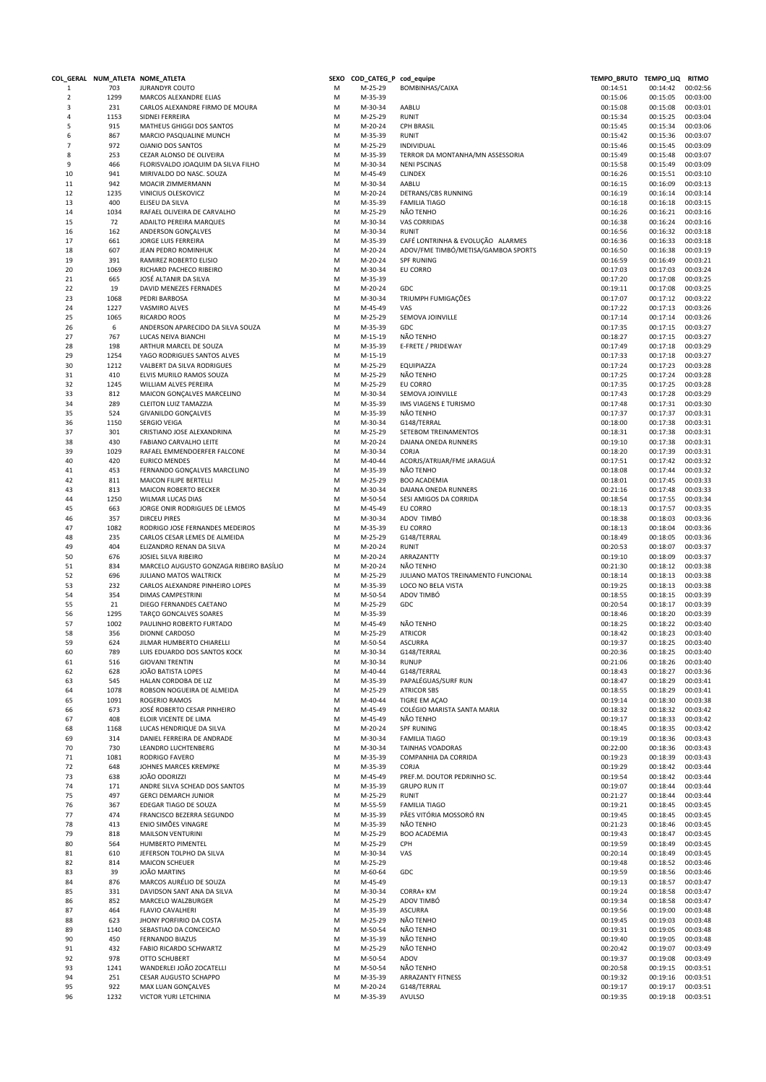|                     |             | COL_GERAL NUM_ATLETA NOME_ATLETA                          |        | SEXO COD_CATEG_P cod_equipe |                                                | TEMPO_BRUTO TEMPO_LIQ RITMO |                      |                      |
|---------------------|-------------|-----------------------------------------------------------|--------|-----------------------------|------------------------------------------------|-----------------------------|----------------------|----------------------|
| $\mathbf{1}$        | 703         | <b>JURANDYR COUTO</b>                                     | М      | M-25-29                     | BOMBINHAS/CAIXA                                | 00:14:51                    | 00:14:42             | 00:02:56             |
| $\overline{2}$      | 1299        | MARCOS ALEXANDRE ELIAS                                    | M      | M-35-39                     |                                                | 00:15:06                    | 00:15:05             | 00:03:00             |
| 3                   | 231         | CARLOS ALEXANDRE FIRMO DE MOURA                           | M      | M-30-34                     | AABLU                                          | 00:15:08                    | 00:15:08             | 00:03:01             |
| 4                   | 1153        | SIDNEI FERREIRA                                           | M      | M-25-29                     | <b>RUNIT</b>                                   | 00:15:34                    | 00:15:25             | 00:03:04             |
| 5                   | 915         | MATHEUS GHIGGI DOS SANTOS                                 | M      | M-20-24                     | <b>CPH BRASIL</b>                              | 00:15:45                    | 00:15:34             | 00:03:06             |
| 6                   | 867         | MARCIO PASQUALINE MUNCH                                   | M      | M-35-39                     | <b>RUNIT</b>                                   | 00:15:42<br>00:15:46        | 00:15:36             | 00:03:07             |
| $\overline{7}$<br>8 | 972<br>253  | <b>OJANIO DOS SANTOS</b><br>CEZAR ALONSO DE OLIVEIRA      | M<br>M | M-25-29<br>M-35-39          | INDIVIDUAL<br>TERROR DA MONTANHA/MN ASSESSORIA | 00:15:49                    | 00:15:45<br>00:15:48 | 00:03:09<br>00:03:07 |
| 9                   | 466         | FLORISVALDO JOAQUIM DA SILVA FILHO                        | M      | M-30-34                     | <b>NENI PSCINAS</b>                            | 00:15:58                    | 00:15:49             | 00:03:09             |
| 10                  | 941         | MIRIVALDO DO NASC. SOUZA                                  | M      | M-45-49                     | <b>CLINDEX</b>                                 | 00:16:26                    | 00:15:51             | 00:03:10             |
| 11                  | 942         | MOACIR ZIMMERMANN                                         | M      | M-30-34                     | AABLU                                          | 00:16:15                    | 00:16:09             | 00:03:13             |
| 12                  | 1235        | VINICIUS OLESKOVICZ                                       | M      | M-20-24                     | DETRANS/CBS RUNNING                            | 00:16:19                    | 00:16:14             | 00:03:14             |
| 13                  | 400         | ELISEU DA SILVA                                           | M      | M-35-39                     | <b>FAMILIA TIAGO</b>                           | 00:16:18                    | 00:16:18             | 00:03:15             |
| 14                  | 1034        | RAFAEL OLIVEIRA DE CARVALHO                               | M      | M-25-29                     | NÃO TENHO                                      | 00:16:26                    | 00:16:21             | 00:03:16             |
| 15                  | 72          | ADAILTO PEREIRA MARQUES                                   | M      | M-30-34                     | VAS CORRIDAS                                   | 00:16:38                    | 00:16:24             | 00:03:16             |
| 16                  | 162         | ANDERSON GONÇALVES                                        | M      | M-30-34                     | <b>RUNIT</b>                                   | 00:16:56                    | 00:16:32             | 00:03:18             |
| 17                  | 661         | JORGE LUIS FERREIRA                                       | M      | M-35-39                     | CAFÉ LONTRINHA & EVOLUÇÃO ALARMES              | 00:16:36                    | 00:16:33             | 00:03:18             |
| 18                  | 607         | JEAN PEDRO ROMINHUK                                       | M      | M-20-24                     | ADOV/FME TIMBÓ/METISA/GAMBOA SPORTS            | 00:16:50                    | 00:16:38             | 00:03:19             |
| 19                  | 391         | RAMIREZ ROBERTO ELISIO                                    | M      | M-20-24                     | <b>SPF RUNING</b>                              | 00:16:59                    | 00:16:49             | 00:03:21             |
| 20                  | 1069        | RICHARD PACHECO RIBEIRO                                   | M      | M-30-34                     | EU CORRO                                       | 00:17:03                    | 00:17:03             | 00:03:24             |
| 21                  | 665         | JOSÉ ALTANIR DA SILVA                                     | M      | M-35-39                     |                                                | 00:17:20                    | 00:17:08             | 00:03:25             |
| 22                  | 19          | DAVID MENEZES FERNADES                                    | M      | M-20-24                     | GDC                                            | 00:19:11                    | 00:17:08             | 00:03:25             |
| 23                  | 1068        | PEDRI BARBOSA                                             | M      | M-30-34                     | TRIUMPH FUMIGAÇÕES                             | 00:17:07                    | 00:17:12             | 00:03:22             |
| 24                  | 1227        | VASMIRO ALVES                                             | M      | M-45-49                     | VAS                                            | 00:17:22                    | 00:17:13             | 00:03:26             |
| 25                  | 1065        | RICARDO ROOS                                              | M      | M-25-29                     | SEMOVA JOINVILLE                               | 00:17:14                    | 00:17:14             | 00:03:26             |
| 26                  | 6           | ANDERSON APARECIDO DA SILVA SOUZA                         | M      | M-35-39                     | GDC                                            | 00:17:35                    | 00:17:15             | 00:03:27             |
| 27                  | 767         | LUCAS NEIVA BIANCHI                                       | M      | $M-15-19$                   | NÃO TENHO                                      | 00:18:27                    | 00:17:15             | 00:03:27             |
| 28                  | 198         | ARTHUR MARCEL DE SOUZA                                    | M      | M-35-39                     | E-FRETE / PRIDEWAY                             | 00:17:49                    | 00:17:18             | 00:03:29             |
| 29                  | 1254        | YAGO RODRIGUES SANTOS ALVES<br>VALBERT DA SILVA RODRIGUES | M      | $M-15-19$                   |                                                | 00:17:33                    | 00:17:18             | 00:03:27             |
| 30<br>31            | 1212<br>410 |                                                           | M<br>M | M-25-29<br>M-25-29          | EQUIPIAZZA                                     | 00:17:24                    | 00:17:23<br>00:17:24 | 00:03:28<br>00:03:28 |
| 32                  | 1245        | ELVIS MURILO RAMOS SOUZA<br>WILLIAM ALVES PEREIRA         | M      | M-25-29                     | NÃO TENHO<br>EU CORRO                          | 00:17:25<br>00:17:35        | 00:17:25             | 00:03:28             |
| 33                  | 812         | MAICON GONÇALVES MARCELINO                                | M      | M-30-34                     | SEMOVA JOINVILLE                               | 00:17:43                    | 00:17:28             | 00:03:29             |
| 34                  | 289         | CLEITON LUIZ TAMAZZIA                                     | M      | M-35-39                     | IMS VIAGENS E TURISMO                          | 00:17:48                    | 00:17:31             | 00:03:30             |
| 35                  | 524         | <b>GIVANILDO GONÇALVES</b>                                | M      | M-35-39                     | NÃO TENHO                                      | 00:17:37                    | 00:17:37             | 00:03:31             |
| 36                  | 1150        | SERGIO VEIGA                                              | M      | M-30-34                     | G148/TERRAL                                    | 00:18:00                    | 00:17:38             | 00:03:31             |
| 37                  | 301         | CRISTIANO JOSE ALEXANDRINA                                | M      | M-25-29                     | SETEBOM TREINAMENTOS                           | 00:18:31                    | 00:17:38             | 00:03:31             |
| 38                  | 430         | FABIANO CARVALHO LEITE                                    | M      | M-20-24                     | DAIANA ONEDA RUNNERS                           | 00:19:10                    | 00:17:38             | 00:03:31             |
| 39                  | 1029        | RAFAEL EMMENDOERFER FALCONE                               | M      | M-30-34                     | CORJA                                          | 00:18:20                    | 00:17:39             | 00:03:31             |
| 40                  | 420         | <b>EURICO MENDES</b>                                      | M      | M-40-44                     | ACORJS/ATRIJAR/FME JARAGUÁ                     | 00:17:51                    | 00:17:42             | 00:03:32             |
| 41                  | 453         | FERNANDO GONÇALVES MARCELINO                              | M      | M-35-39                     | NÃO TENHO                                      | 00:18:08                    | 00:17:44             | 00:03:32             |
| 42                  | 811         | MAICON FILIPE BERTELLI                                    | M      | M-25-29                     | <b>BOO ACADEMIA</b>                            | 00:18:01                    | 00:17:45             | 00:03:33             |
| 43                  | 813         | MAICON ROBERTO BECKER                                     | M      | M-30-34                     | DAIANA ONEDA RUNNERS                           | 00:21:16                    | 00:17:48             | 00:03:33             |
| 44                  | 1250        | WILMAR LUCAS DIAS                                         | M      | M-50-54                     | SESI AMIGOS DA CORRIDA                         | 00:18:54                    | 00:17:55             | 00:03:34             |
| 45                  | 663         | JORGE ONIR RODRIGUES DE LEMOS                             | M      | M-45-49                     | EU CORRO                                       | 00:18:13                    | 00:17:57             | 00:03:35             |
| 46                  | 357         | <b>DIRCEU PIRES</b>                                       | M      | M-30-34                     | ADOV TIMBÓ                                     | 00:18:38                    | 00:18:03             | 00:03:36             |
| 47                  | 1082        | RODRIGO JOSE FERNANDES MEDEIROS                           | M      | M-35-39                     | EU CORRO                                       | 00:18:13                    | 00:18:04             | 00:03:36             |
| 48                  | 235         | CARLOS CESAR LEMES DE ALMEIDA                             | M      | M-25-29                     | G148/TERRAL                                    | 00:18:49                    | 00:18:05             | 00:03:36             |
| 49                  | 404         | ELIZANDRO RENAN DA SILVA                                  | M      | M-20-24                     | <b>RUNIT</b>                                   | 00:20:53                    | 00:18:07             | 00:03:37             |
| 50                  | 676         | JOSIEL SILVA RIBEIRO                                      | M      | M-20-24                     | ARRAZANTTY                                     | 00:19:10                    | 00:18:09             | 00:03:37             |
| 51                  | 834         | MARCELO AUGUSTO GONZAGA RIBEIRO BASÍLIO                   | M      | M-20-24                     | NÃO TENHO                                      | 00:21:30                    | 00:18:12             | 00:03:38             |
| 52                  | 696         | JULIANO MATOS WALTRICK                                    | M      | M-25-29                     | JULIANO MATOS TREINAMENTO FUNCIONAL            | 00:18:14                    | 00:18:13             | 00:03:38             |
| 53                  | 232         | CARLOS ALEXANDRE PINHEIRO LOPES                           | M      | M-35-39                     | LOCO NO BELA VISTA                             | 00:19:25                    | 00:18:13             | 00:03:38             |
| 54<br>55            | 354<br>21   | <b>DIMAS CAMPESTRINI</b><br>DIEGO FERNANDES CAETANO       | M<br>M | M-50-54<br>M-25-29          | ADOV TIMBÓ<br>GDC                              | 00:18:55<br>00:20:54        | 00:18:15<br>00:18:17 | 00:03:39<br>00:03:39 |
| 56                  | 1295        | TARCO GONCALVES SOARES                                    | M      | M-35-39                     |                                                | 00:18:46                    | 00:18:20             | 00:03:39             |
| 57                  | 1002        | PAULINHO ROBERTO FURTADO                                  | M      | M-45-49                     | NÃO TENHO                                      | 00:18:25                    | 00:18:22             | 00:03:40             |
| 58                  | 356         | DIONNE CARDOSO                                            | M      | M-25-29                     | <b>ATRICOR</b>                                 | 00:18:42                    | 00:18:23             | 00:03:40             |
| 59                  | 624         | JILMAR HUMBERTO CHIARELLI                                 | M      | M-50-54                     | <b>ASCURRA</b>                                 | 00:19:37                    | 00:18:25             | 00:03:40             |
| 60                  | 789         | LUIS EDUARDO DOS SANTOS KOCK                              | M      | M-30-34                     | G148/TERRAL                                    | 00:20:36                    | 00:18:25             | 00:03:40             |
| 61                  | 516         | <b>GIOVANI TRENTIN</b>                                    | M      | M-30-34                     | <b>RUNUP</b>                                   | 00:21:06                    | 00:18:26             | 00:03:40             |
| 62                  | 628         | JOÃO BATISTA LOPES                                        | M      | M-40-44                     | G148/TERRAL                                    | 00:18:43                    | 00:18:27             | 00:03:36             |
| 63                  | 545         | HALAN CORDOBA DE LIZ                                      | M      | M-35-39                     | PAPALÉGUAS/SURF RUN                            | 00:18:47                    | 00:18:29             | 00:03:41             |
| 64                  | 1078        | ROBSON NOGUEIRA DE ALMEIDA                                | M      | M-25-29                     | <b>ATRICOR SBS</b>                             | 00:18:55                    | 00:18:29             | 00:03:41             |
| 65                  | 1091        | ROGERIO RAMOS                                             | M      | M-40-44                     | TIGRE EM AÇAO                                  | 00:19:14                    | 00:18:30             | 00:03:38             |
| 66                  | 673         | JOSÉ ROBERTO CESAR PINHEIRO                               | M      | M-45-49                     | COLÉGIO MARISTA SANTA MARIA                    | 00:18:32                    | 00:18:32             | 00:03:42             |
| 67                  | 408         | ELOIR VICENTE DE LIMA                                     | M      | M-45-49                     | NÃO TENHO                                      | 00:19:17                    | 00:18:33             | 00:03:42             |
| 68                  | 1168        | LUCAS HENDRIQUE DA SILVA                                  | M      | M-20-24                     | <b>SPF RUNING</b>                              | 00:18:45                    | 00:18:35             | 00:03:42             |
| 69                  | 314         | DANIEL FERREIRA DE ANDRADE                                | M      | M-30-34                     | <b>FAMILIA TIAGO</b>                           | 00:19:19                    | 00:18:36             | 00:03:43             |
| 70                  | 730         | LEANDRO LUCHTENBERG                                       | M      | M-30-34                     | <b>TAINHAS VOADORAS</b>                        | 00:22:00                    | 00:18:36             | 00:03:43             |
| 71                  | 1081        | RODRIGO FAVERO                                            | M      | M-35-39                     | COMPANHIA DA CORRIDA                           | 00:19:23                    | 00:18:39             | 00:03:43             |
| 72                  | 648         | JOHNES MARCES KREMPKE                                     | M      | M-35-39                     | CORJA                                          | 00:19:29                    | 00:18:42             | 00:03:44             |
| 73                  | 638         | JOÃO ODORIZZI                                             | M      | M-45-49                     | PREF.M. DOUTOR PEDRINHO SC.                    | 00:19:54                    | 00:18:42             | 00:03:44             |
| 74                  | 171         | ANDRE SILVA SCHEAD DOS SANTOS                             | M      | M-35-39                     | <b>GRUPO RUN IT</b>                            | 00:19:07                    | 00:18:44             | 00:03:44             |
| 75                  | 497<br>367  | <b>GERCI DEMARCH JUNIOR</b><br>EDEGAR TIAGO DE SOUZA      | M<br>M | M-25-29<br>M-55-59          | <b>RUNIT</b><br><b>FAMILIA TIAGO</b>           | 00:21:27                    | 00:18:44<br>00:18:45 | 00:03:44<br>00:03:45 |
| 76<br>77            | 474         | FRANCISCO BEZERRA SEGUNDO                                 | M      | M-35-39                     | PÃES VITÓRIA MOSSORÓ RN                        | 00:19:21<br>00:19:45        | 00:18:45             | 00:03:45             |
| 78                  | 413         | ENIO SIMÕES VINAGRE                                       | M      | M-35-39                     | NÃO TENHO                                      | 00:21:23                    | 00:18:46             | 00:03:45             |
| 79                  | 818         | MAILSON VENTURINI                                         | M      | M-25-29                     | <b>BOO ACADEMIA</b>                            | 00:19:43                    | 00:18:47             | 00:03:45             |
| 80                  | 564         | HUMBERTO PIMENTEL                                         | M      | M-25-29                     | CPH                                            | 00:19:59                    | 00:18:49             | 00:03:45             |
| 81                  | 610         | JEFERSON TOLPHO DA SILVA                                  | M      | M-30-34                     | VAS                                            | 00:20:14                    | 00:18:49             | 00:03:45             |
| 82                  | 814         | <b>MAICON SCHEUER</b>                                     | M      | M-25-29                     |                                                | 00:19:48                    | 00:18:52             | 00:03:46             |
| 83                  | 39          | JOÃO MARTINS                                              | M      | M-60-64                     | GDC                                            | 00:19:59                    | 00:18:56             | 00:03:46             |
| 84                  | 876         | MARCOS AURÉLIO DE SOUZA                                   | M      | M-45-49                     |                                                | 00:19:13                    | 00:18:57             | 00:03:47             |
| 85                  | 331         | DAVIDSON SANT ANA DA SILVA                                | M      | M-30-34                     | CORRA+ KM                                      | 00:19:24                    | 00:18:58             | 00:03:47             |
| 86                  | 852         | MARCELO WALZBURGER                                        | M      | M-25-29                     | ADOV TIMBÓ                                     | 00:19:34                    | 00:18:58             | 00:03:47             |
| 87                  | 464         | <b>FLAVIO CAVALHERI</b>                                   | M      | M-35-39                     | <b>ASCURRA</b>                                 | 00:19:56                    | 00:19:00             | 00:03:48             |
| 88                  | 623         | JHONY PORFIRIO DA COSTA                                   | M      | M-25-29                     | NÃO TENHO                                      | 00:19:45                    | 00:19:03             | 00:03:48             |
| 89                  | 1140        | SEBASTIAO DA CONCEICAO                                    | M      | M-50-54                     | NÃO TENHO                                      | 00:19:31                    | 00:19:05             | 00:03:48             |
| 90                  | 450         | <b>FERNANDO BIAZUS</b>                                    | M      | M-35-39                     | NÃO TENHO                                      | 00:19:40                    | 00:19:05             | 00:03:48             |
| 91                  | 432         | FABIO RICARDO SCHWARTZ                                    | M      | M-25-29                     | NÃO TENHO                                      | 00:20:42                    | 00:19:07             | 00:03:49             |
| 92                  | 978         | OTTO SCHUBERT                                             | M      | M-50-54                     | ADOV                                           | 00:19:37                    | 00:19:08             | 00:03:49             |
| 93                  | 1241        | WANDERLEI JOÃO ZOCATELLI                                  | M      | M-50-54                     | NÃO TENHO                                      | 00:20:58                    | 00:19:15             | 00:03:51             |
| 94                  | 251         | <b>CESAR AUGUSTO SCHAPPO</b>                              | M      | M-35-39                     | <b>ARRAZANTY FITNESS</b>                       | 00:19:32                    | 00:19:16             | 00:03:51             |
| 95                  | 922         | MAX LUAN GONÇALVES                                        | M      | M-20-24                     | G148/TERRAL                                    | 00:19:17                    | 00:19:17             | 00:03:51             |
| 96                  | 1232        | VICTOR YURI LETCHINIA                                     | M      | M-35-39                     | AVULSO                                         | 00:19:35                    | 00:19:18             | 00:03:51             |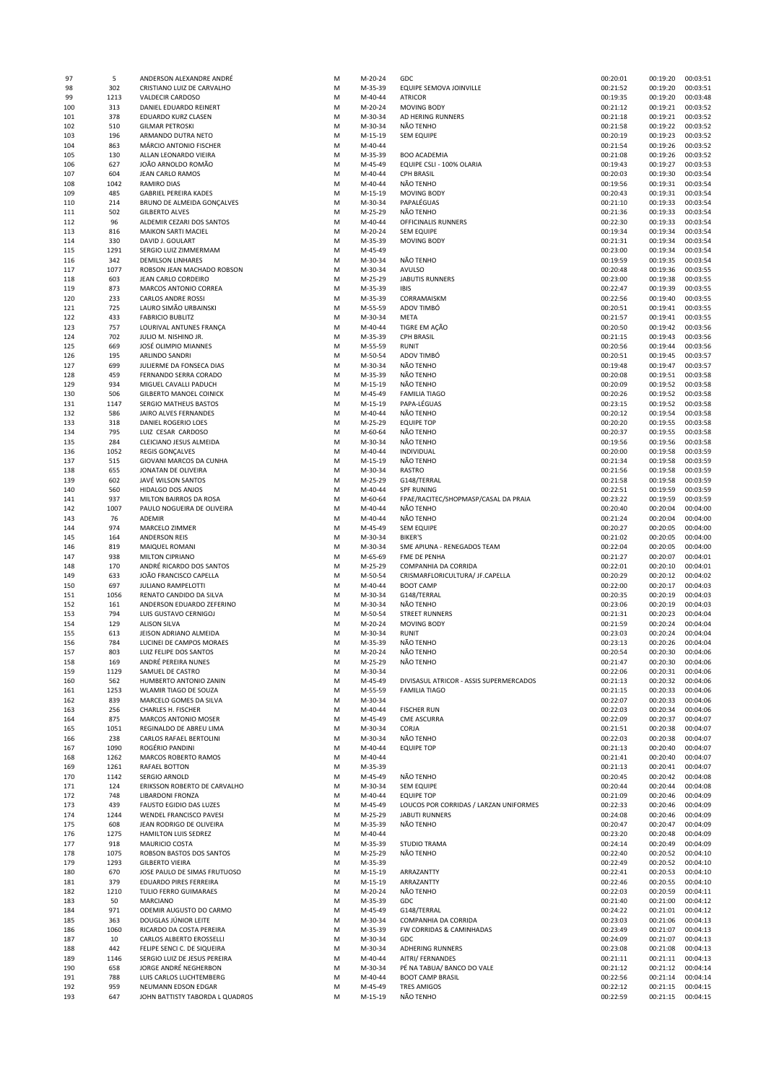| 97  | 5          | ANDERSON ALEXANDRE ANDRÉ                         | M      | M-20-24 | GDC                                     | 00:20:01             | 00:19:20             | 00:03:51 |
|-----|------------|--------------------------------------------------|--------|---------|-----------------------------------------|----------------------|----------------------|----------|
| 98  | 302        | CRISTIANO LUIZ DE CARVALHO                       | M      | M-35-39 | EQUIPE SEMOVA JOINVILLE                 | 00:21:52             | 00:19:20             | 00:03:51 |
| 99  | 1213       | <b>VALDECIR CARDOSO</b>                          | M      | M-40-44 | <b>ATRICOR</b>                          | 00:19:35             | 00:19:20             | 00:03:48 |
| 100 | 313        | DANIEL EDUARDO REINERT                           | M      | M-20-24 | <b>MOVING BODY</b>                      | 00:21:12             | 00:19:21             | 00:03:52 |
| 101 | 378        | EDUARDO KURZ CLASEN                              | М      | M-30-34 | AD HERING RUNNERS                       | 00:21:18             | 00:19:21             | 00:03:52 |
| 102 | 510        | <b>GILMAR PETROSKI</b>                           | М      | M-30-34 | NÃO TENHO                               | 00:21:58             | 00:19:22             | 00:03:52 |
| 103 | 196        | ARMANDO DUTRA NETO                               | М      | M-15-19 | <b>SEM EQUIPE</b>                       | 00:20:19             | 00:19:23             | 00:03:52 |
| 104 | 863        | MÁRCIO ANTONIO FISCHER                           | М      | M-40-44 |                                         | 00:21:54             | 00:19:26             | 00:03:52 |
| 105 | 130        | ALLAN LEONARDO VIEIRA                            | М      | M-35-39 | <b>BOO ACADEMIA</b>                     | 00:21:08             | 00:19:26             | 00:03:52 |
| 106 | 627        | JOÃO ARNOLDO ROMÃO                               | М      | M-45-49 | EQUIPE CSLI - 100% OLARIA               | 00:19:43             | 00:19:27             | 00:03:53 |
| 107 | 604        | JEAN CARLO RAMOS                                 | M      | M-40-44 | <b>CPH BRASIL</b>                       | 00:20:03             | 00:19:30             | 00:03:54 |
| 108 | 1042       | RAMIRO DIAS                                      | M      | M-40-44 | NÃO TENHO                               | 00:19:56             | 00:19:31             | 00:03:54 |
| 109 | 485        | <b>GABRIEL PEREIRA KADES</b>                     | M      | M-15-19 | <b>MOVING BODY</b>                      | 00:20:43             | 00:19:31             | 00:03:54 |
| 110 | 214        | BRUNO DE ALMEIDA GONÇALVES                       | M      | M-30-34 | PAPALÉGUAS                              | 00:21:10             | 00:19:33             | 00:03:54 |
|     | 502        |                                                  |        |         | NÃO TENHO                               | 00:21:36             | 00:19:33             | 00:03:54 |
| 111 |            | <b>GILBERTO ALVES</b>                            | M      | M-25-29 |                                         |                      |                      |          |
| 112 | 96         | ALDEMIR CEZARI DOS SANTOS                        | M      | M-40-44 | OFFICINALIS RUNNERS                     | 00:22:30             | 00:19:33             | 00:03:54 |
| 113 | 816        | <b>MAIKON SARTI MACIEL</b>                       | M      | M-20-24 | <b>SEM EQUIPE</b>                       | 00:19:34             | 00:19:34             | 00:03:54 |
| 114 | 330        | DAVID J. GOULART                                 | M      | M-35-39 | <b>MOVING BODY</b>                      | 00:21:31             | 00:19:34             | 00:03:54 |
| 115 | 1291       | SERGIO LUIZ ZIMMERMAM                            | M      | M-45-49 |                                         | 00:23:00             | 00:19:34             | 00:03:54 |
| 116 | 342        | <b>DEMILSON LINHARES</b>                         | M      | M-30-34 | NÃO TENHO                               | 00:19:59             | 00:19:35             | 00:03:54 |
| 117 | 1077       | ROBSON JEAN MACHADO ROBSON                       | M      | M-30-34 | AVULSO                                  | 00:20:48             | 00:19:36             | 00:03:55 |
| 118 | 603        | JEAN CARLO CORDEIRO                              | M      | M-25-29 | <b>JABUTIS RUNNERS</b>                  | 00:23:00             | 00:19:38             | 00:03:55 |
| 119 | 873        | MARCOS ANTONIO CORREA                            | M      | M-35-39 | <b>IBIS</b>                             | 00:22:47             | 00:19:39             | 00:03:55 |
| 120 | 233        | <b>CARLOS ANDRE ROSSI</b>                        | M      | M-35-39 | CORRAMAISKM                             | 00:22:56             | 00:19:40             | 00:03:55 |
| 121 | 725        | LAURO SIMÃO URBAINSKI                            | M      | M-55-59 | ADOV TIMBÓ                              | 00:20:51             | 00:19:41             | 00:03:55 |
| 122 | 433        | <b>FABRICIO BUBLITZ</b>                          | M      | M-30-34 | META                                    | 00:21:57             | 00:19:41             | 00:03:55 |
| 123 | 757        | LOURIVAL ANTUNES FRANÇA                          | M      | M-40-44 | TIGRE EM AÇÃO                           | 00:20:50             | 00:19:42             | 00:03:56 |
| 124 | 702        | JULIO M. NISHINO JR.                             | M      | M-35-39 | <b>CPH BRASIL</b>                       | 00:21:15             | 00:19:43             | 00:03:56 |
| 125 | 669        | JOSÉ OLIMPIO MIANNES                             | M      | M-55-59 | <b>RUNIT</b>                            | 00:20:56             | 00:19:44             | 00:03:56 |
| 126 | 195        | ARLINDO SANDRI                                   | M      | M-50-54 | ADOV TIMBÓ                              | 00:20:51             | 00:19:45             | 00:03:57 |
| 127 | 699        | JULIERME DA FONSECA DIAS                         | М      | M-30-34 | NÃO TENHO                               | 00:19:48             | 00:19:47             | 00:03:57 |
| 128 | 459        | FERNANDO SERRA CORADO                            | М      | M-35-39 | NÃO TENHO                               | 00:20:08             | 00:19:51             | 00:03:58 |
|     | 934        |                                                  | М      |         | NÃO TENHO                               |                      | 00:19:52             | 00:03:58 |
| 129 |            | MIGUEL CAVALLI PADUCH                            |        | M-15-19 |                                         | 00:20:09             |                      |          |
| 130 | 506        | <b>GILBERTO MANOEL COINICK</b>                   | М      | M-45-49 | <b>FAMILIA TIAGO</b>                    | 00:20:26             | 00:19:52             | 00:03:58 |
| 131 | 1147       | SERGIO MATHEUS BASTOS                            | M      | M-15-19 | PAPA-LÉGUAS                             | 00:23:15             | 00:19:52             | 00:03:58 |
| 132 | 586        | JAIRO ALVES FERNANDES                            | М      | M-40-44 | NÃO TENHO                               | 00:20:12             | 00:19:54             | 00:03:58 |
| 133 | 318        | DANIEL ROGERIO LOES                              | М      | M-25-29 | <b>EQUIPE TOP</b>                       | 00:20:20             | 00:19:55             | 00:03:58 |
| 134 | 795        | LUIZ CESAR CARDOSO                               | M      | M-60-64 | NÃO TENHO                               | 00:20:37             | 00:19:55             | 00:03:58 |
| 135 | 284        | CLEICIANO JESUS ALMEIDA                          | M      | M-30-34 | NÃO TENHO                               | 00:19:56             | 00:19:56             | 00:03:58 |
| 136 | 1052       | <b>REGIS GONÇALVES</b>                           | M      | M-40-44 | INDIVIDUAL                              | 00:20:00             | 00:19:58             | 00:03:59 |
| 137 | 515        | GIOVANI MARCOS DA CUNHA                          | M      | M-15-19 | NÃO TENHO                               | 00:21:34             | 00:19:58             | 00:03:59 |
| 138 | 655        | JONATAN DE OLIVEIRA                              | M      | M-30-34 | <b>RASTRO</b>                           | 00:21:56             | 00:19:58             | 00:03:59 |
| 139 | 602        | JAVÉ WILSON SANTOS                               | M      | M-25-29 | G148/TERRAL                             | 00:21:58             | 00:19:58             | 00:03:59 |
| 140 | 560        | HIDALGO DOS ANJOS                                | M      | M-40-44 | <b>SPF RUNING</b>                       | 00:22:51             | 00:19:59             | 00:03:59 |
| 141 | 937        | MILTON BAIRROS DA ROSA                           | M      | M-60-64 | FPAE/RACITEC/SHOPMASP/CASAL DA PRAIA    | 00:23:22             | 00:19:59             | 00:03:59 |
| 142 | 1007       | PAULO NOGUEIRA DE OLIVEIRA                       | M      | M-40-44 | NÃO TENHO                               | 00:20:40             | 00:20:04             | 00:04:00 |
| 143 | 76         | ADEMIR                                           | M      | M-40-44 | NÃO TENHO                               | 00:21:24             | 00:20:04             | 00:04:00 |
| 144 | 974        | MARCELO ZIMMER                                   | M      | M-45-49 | <b>SEM EQUIPE</b>                       | 00:20:27             | 00:20:05             | 00:04:00 |
| 145 | 164        | <b>ANDERSON REIS</b>                             | M      | M-30-34 | <b>BIKER'S</b>                          | 00:21:02             | 00:20:05             | 00:04:00 |
| 146 | 819        | MAIQUEL ROMANI                                   | M      | M-30-34 | SME APIUNA - RENEGADOS TEAM             | 00:22:04             | 00:20:05             | 00:04:00 |
| 147 | 938        | MILTON CIPRIANO                                  | M      | M-65-69 | FME DE PENHA                            | 00:21:27             | 00:20:07             | 00:04:01 |
| 148 | 170        | ANDRÉ RICARDO DOS SANTOS                         | M      | M-25-29 | COMPANHIA DA CORRIDA                    | 00:22:01             | 00:20:10             | 00:04:01 |
| 149 | 633        | JOÃO FRANCISCO CAPELLA                           | M      | M-50-54 | CRISMARFLORICULTURA/ JF.CAPELLA         | 00:20:29             | 00:20:12             | 00:04:02 |
|     |            |                                                  |        |         |                                         |                      |                      |          |
| 150 | 697        | <b>JULIANO RAMPELOTTI</b>                        | M      | M-40-44 | <b>BOOT CAMP</b>                        | 00:22:00             | 00:20:17             | 00:04:03 |
| 151 | 1056       | RENATO CANDIDO DA SILVA                          | M      | M-30-34 | G148/TERRAL                             | 00:20:35             | 00:20:19             | 00:04:03 |
| 152 | 161        | ANDERSON EDUARDO ZEFERINO                        | M      | M-30-34 | NÃO TENHO                               | 00:23:06             | 00:20:19             | 00:04:03 |
| 153 | 794        | LUIS GUSTAVO CERNIGOJ                            | M      | M-50-54 | <b>STREET RUNNERS</b>                   | 00:21:31             | 00:20:23             | 00:04:04 |
| 154 | 129        | <b>ALISON SILVA</b>                              | М      | M-20-24 | <b>MOVING BODY</b>                      | 00:21:59             | 00:20:24             | 00:04:04 |
| 155 | 613        | JEISON ADRIANO ALMEIDA                           | М      | M-30-34 | <b>RUNIT</b>                            | 00:23:03             | 00:20:24             | 00:04:04 |
| 156 | 784        | LUCINEI DE CAMPOS MORAES                         | М      | M-35-39 | NÃO TENHO                               | 00:23:13             | 00:20:26             | 00:04:04 |
| 157 | 803        | LUIZ FELIPE DOS SANTOS                           | М      | M-20-24 | NÃO TENHO                               | 00:20:54             | 00:20:30             | 00:04:06 |
| 158 | 169        | ANDRÉ PEREIRA NUNES                              | М      | M-25-29 | NÃO TENHO                               | 00:21:47             | 00:20:30             | 00:04:06 |
| 159 | 1129       | SAMUEL DE CASTRO                                 | M      | M-30-34 |                                         | 00:22:06             | 00:20:31             | 00:04:06 |
| 160 | 562        | HUMBERTO ANTONIO ZANIN                           | M      | M-45-49 | DIVISASUL ATRICOR - ASSIS SUPERMERCADOS | 00:21:13             | 00:20:32             | 00:04:06 |
| 161 | 1253       | WLAMIR TIAGO DE SOUZA                            | M      | M-55-59 | <b>FAMILIA TIAGO</b>                    | 00:21:15             | 00:20:33             | 00:04:06 |
| 162 | 839        | MARCELO GOMES DA SILVA                           | М      | M-30-34 |                                         | 00:22:07             | 00:20:33             | 00:04:06 |
| 163 | 256        | CHARLES H. FISCHER                               | М      | M-40-44 | <b>FISCHER RUN</b>                      | 00:22:03             | 00:20:34             | 00:04:06 |
| 164 | 875        | MARCOS ANTONIO MOSER                             | М      | M-45-49 | <b>CME ASCURRA</b>                      | 00:22:09             | 00:20:37             | 00:04:07 |
| 165 | 1051       | REGINALDO DE ABREU LIMA                          | M      | M-30-34 | CORJA                                   | 00:21:51             | 00:20:38             | 00:04:07 |
| 166 | 238        | CARLOS RAFAEL BERTOLINI                          | M      | M-30-34 | NÃO TENHO                               | 00:22:03             | 00:20:38             | 00:04:07 |
| 167 | 1090       | ROGÉRIO PANDINI                                  | M      | M-40-44 | <b>EQUIPE TOP</b>                       | 00:21:13             | 00:20:40             | 00:04:07 |
| 168 | 1262       | MARCOS ROBERTO RAMOS                             | M      | M-40-44 |                                         | 00:21:41             | 00:20:40             | 00:04:07 |
| 169 | 1261       | RAFAEL BOTTON                                    | M      | M-35-39 |                                         | 00:21:13             | 00:20:41             | 00:04:07 |
|     | 1142       | SERGIO ARNOLD                                    | M      | M-45-49 | NÃO TENHO                               | 00:20:45             | 00:20:42             | 00:04:08 |
| 170 |            |                                                  |        |         |                                         |                      |                      |          |
| 171 | 124<br>748 | ERIKSSON ROBERTO DE CARVALHO<br>LIBARDONI FRONZA | M<br>M | M-30-34 | <b>SEM EQUIPE</b>                       | 00:20:44<br>00:21:09 | 00:20:44<br>00:20:46 | 00:04:08 |
| 172 |            |                                                  |        | M-40-44 | <b>EQUIPE TOP</b>                       |                      |                      | 00:04:09 |
| 173 | 439        | <b>FAUSTO EGIDIO DAS LUZES</b>                   | M      | M-45-49 | LOUCOS POR CORRIDAS / LARZAN UNIFORMES  | 00:22:33             | 00:20:46             | 00:04:09 |
| 174 | 1244       | WENDEL FRANCISCO PAVESI                          | M      | M-25-29 | <b>JABUTI RUNNERS</b>                   | 00:24:08             | 00:20:46             | 00:04:09 |
| 175 | 608        | JEAN RODRIGO DE OLIVEIRA                         | M      | M-35-39 | NÃO TENHO                               | 00:20:47             | 00:20:47             | 00:04:09 |
| 176 | 1275       | HAMILTON LUIS SEDREZ                             | M      | M-40-44 |                                         | 00:23:20             | 00:20:48             | 00:04:09 |
| 177 | 918        | MAURICIO COSTA                                   | M      | M-35-39 | <b>STUDIO TRAMA</b>                     | 00:24:14             | 00:20:49             | 00:04:09 |
| 178 | 1075       | ROBSON BASTOS DOS SANTOS                         | М      | M-25-29 | NÃO TENHO                               | 00:22:40             | 00:20:52             | 00:04:10 |
| 179 | 1293       | <b>GILBERTO VIEIRA</b>                           | М      | M-35-39 |                                         | 00:22:49             | 00:20:52             | 00:04:10 |
| 180 | 670        | JOSE PAULO DE SIMAS FRUTUOSO                     | М      | M-15-19 | ARRAZANTTY                              | 00:22:41             | 00:20:53             | 00:04:10 |
| 181 | 379        | EDUARDO PIRES FERREIRA                           | М      | M-15-19 | ARRAZANTTY                              | 00:22:46             | 00:20:55             | 00:04:10 |
| 182 | 1210       | <b>TULIO FERRO GUIMARAES</b>                     | M      | M-20-24 | NÃO TENHO                               | 00:22:03             | 00:20:59             | 00:04:11 |
| 183 | 50         | MARCIANO                                         | М      | M-35-39 | GDC                                     | 00:21:40             | 00:21:00             | 00:04:12 |
| 184 | 971        | ODEMIR AUGUSTO DO CARMO                          | М      | M-45-49 | G148/TERRAL                             | 00:24:22             | 00:21:01             | 00:04:12 |
| 185 | 363        | DOUGLAS JÚNIOR LEITE                             | M      | M-30-34 | COMPANHIA DA CORRIDA                    | 00:23:03             | 00:21:06             | 00:04:13 |
| 186 | 1060       | RICARDO DA COSTA PEREIRA                         | M      | M-35-39 | FW CORRIDAS & CAMINHADAS                | 00:23:49             | 00:21:07             | 00:04:13 |
| 187 | 10         | CARLOS ALBERTO EROSSELLI                         | M      | M-30-34 | GDC                                     | 00:24:09             | 00:21:07             | 00:04:13 |
| 188 | 442        | FELIPE SENCI C. DE SIQUEIRA                      | M      | M-30-34 | ADHERING RUNNERS                        | 00:23:08             | 00:21:08             | 00:04:13 |
| 189 | 1146       | SERGIO LUIZ DE JESUS PEREIRA                     | M      | M-40-44 | AITRI/ FERNANDES                        | 00:21:11             | 00:21:11             | 00:04:13 |
| 190 | 658        | JORGE ANDRÉ NEGHERBON                            | M      | M-30-34 | PÉ NA TABUA/ BANCO DO VALE              | 00:21:12             | 00:21:12             | 00:04:14 |
| 191 | 788        | LUIS CARLOS LUCHTEMBERG                          | M      | M-40-44 | <b>BOOT CAMP BRASIL</b>                 | 00:22:56             | 00:21:14             | 00:04:14 |
|     | 959        |                                                  |        | M-45-49 | <b>TRES AMIGOS</b>                      |                      |                      | 00:04:15 |
| 192 |            | NEUMANN EDSON EDGAR                              | M      |         |                                         | 00:22:12             | 00:21:15             |          |
| 193 | 647        | JOHN BATTISTY TABORDA L QUADROS                  | М      | M-15-19 | NÃO TENHO                               | 00:22:59             | 00:21:15 00:04:15    |          |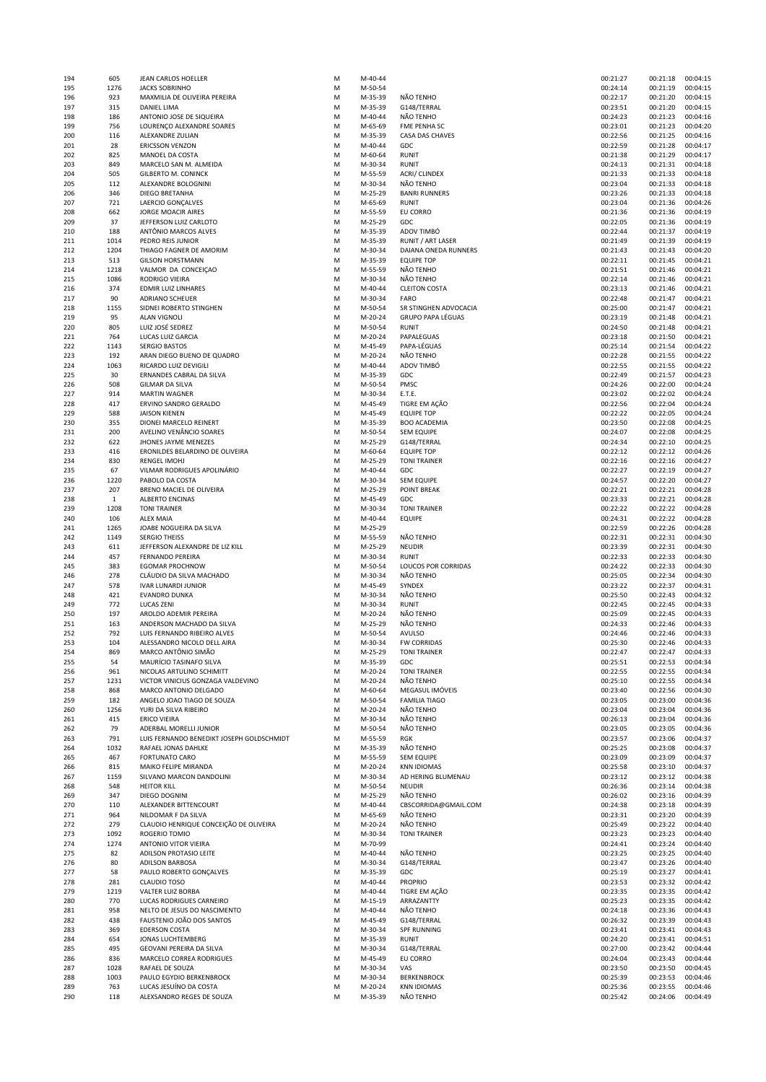| 194 | 605          | JEAN CARLOS HOELLER                       | M | M-40-44 |                          | 00:21:27 | 00:21:18          | 00:04:15 |
|-----|--------------|-------------------------------------------|---|---------|--------------------------|----------|-------------------|----------|
| 195 | 1276         | <b>JACKS SOBRINHO</b>                     | M | M-50-54 |                          | 00:24:14 | 00:21:19          | 00:04:15 |
| 196 | 923          | MAXMILIA DE OLIVEIRA PEREIRA              | M | M-35-39 | NÃO TENHO                | 00:22:17 | 00:21:20          | 00:04:15 |
| 197 | 315          | DANIEL LIMA                               | M | M-35-39 | G148/TERRAL              | 00:23:51 | 00:21:20          | 00:04:15 |
| 198 | 186          | ANTONIO JOSE DE SIQUEIRA                  | M | M-40-44 | NÃO TENHO                | 00:24:23 | 00:21:23          | 00:04:16 |
| 199 | 756          | LOURENÇO ALEXANDRE SOARES                 | M | M-65-69 | FME PENHA SC             | 00:23:01 | 00:21:23          | 00:04:20 |
| 200 | 116          | ALEXANDRE ZULIAN                          | M | M-35-39 | CASA DAS CHAVES          | 00:22:56 | 00:21:25          | 00:04:16 |
| 201 | 28           | <b>ERICSSON VENZON</b>                    | M | M-40-44 | GDC                      | 00:22:59 | 00:21:28          | 00:04:17 |
| 202 | 825          | MANOEL DA COSTA                           | M | M-60-64 | <b>RUNIT</b>             | 00:21:38 | 00:21:29          | 00:04:17 |
| 203 | 849          | MARCELO SAN M. ALMEIDA                    | M | M-30-34 | <b>RUNIT</b>             | 00:24:13 | 00:21:31          | 00:04:18 |
| 204 | 505          | <b>GILBERTO M. CONINCK</b>                | M | M-55-59 | ACRI/ CLINDEX            | 00:21:33 | 00:21:33          | 00:04:18 |
| 205 | 112          | ALEXANDRE BOLOGNINI                       | M | M-30-34 | NÃO TENHO                | 00:23:04 | 00:21:33          | 00:04:18 |
|     | 346          | <b>DIEGO BRETANHA</b>                     |   |         | <b>BANRI RUNNERS</b>     |          |                   |          |
| 206 |              |                                           | M | M-25-29 |                          | 00:23:26 | 00:21:33          | 00:04:18 |
| 207 | 721          | LAERCIO GONÇALVES                         | М | M-65-69 | <b>RUNIT</b>             | 00:23:04 | 00:21:36          | 00:04:26 |
| 208 | 662          | JORGE MOACIR AIRES                        | M | M-55-59 | EU CORRO                 | 00:21:36 | 00:21:36          | 00:04:19 |
| 209 | 37           | JEFFERSON LUIZ CARLOTO                    | M | M-25-29 | GDC                      | 00:22:05 | 00:21:36          | 00:04:19 |
| 210 | 188          | ANTÔNIO MARCOS ALVES                      | M | M-35-39 | ADOV TIMBÓ               | 00:22:44 | 00:21:37          | 00:04:19 |
| 211 | 1014         | PEDRO REIS JUNIOR                         | M | M-35-39 | <b>RUNIT / ART LASER</b> | 00:21:49 | 00:21:39          | 00:04:19 |
| 212 | 1204         | THIAGO FAGNER DE AMORIM                   | M | M-30-34 | DAIANA ONEDA RUNNERS     | 00:21:43 | 00:21:43          | 00:04:20 |
| 213 | 513          | <b>GILSON HORSTMANN</b>                   | M | M-35-39 | <b>EQUIPE TOP</b>        | 00:22:11 | 00:21:45          | 00:04:21 |
| 214 | 1218         | VALMOR DA CONCEIÇAO                       | M | M-55-59 | NÃO TENHO                | 00:21:51 | 00:21:46          | 00:04:21 |
| 215 | 1086         | RODRIGO VIEIRA                            | M | M-30-34 | NÃO TENHO                | 00:22:14 | 00:21:46          | 00:04:21 |
| 216 | 374          | <b>EDMIR LUIZ LINHARES</b>                | M | M-40-44 | <b>CLEITON COSTA</b>     | 00:23:13 | 00:21:46          | 00:04:21 |
| 217 | 90           | <b>ADRIANO SCHEUER</b>                    | M | M-30-34 | FARO                     | 00:22:48 | 00:21:47          | 00:04:21 |
| 218 | 1155         | SIDNEI ROBERTO STINGHEN                   | M | M-50-54 | SR STINGHEN ADVOCACIA    | 00:25:00 | 00:21:47          | 00:04:21 |
| 219 | 95           | <b>ALAN VIGNOLI</b>                       | M | M-20-24 | <b>GRUPO PAPA LÉGUAS</b> | 00:23:19 | 00:21:48          | 00:04:21 |
| 220 | 805          | LUIZ JOSÉ SEDREZ                          | M | M-50-54 | RUNIT                    | 00:24:50 | 00:21:48          | 00:04:21 |
| 221 | 764          | LUCAS LUIZ GARCIA                         | M | M-20-24 | PAPALEGUAS               | 00:23:18 | 00:21:50          | 00:04:21 |
| 222 |              | <b>SERGIO BASTOS</b>                      |   |         | PAPA-LÉGUAS              | 00:25:14 | 00:21:54          | 00:04:22 |
|     | 1143         |                                           | M | M-45-49 |                          |          |                   |          |
| 223 | 192          | ARAN DIEGO BUENO DE QUADRO                | M | M-20-24 | NÃO TENHO                | 00:22:28 | 00:21:55          | 00:04:22 |
| 224 | 1063         | RICARDO LUIZ DEVIGILI                     | M | M-40-44 | ADOV TIMBÓ               | 00:22:55 | 00:21:55          | 00:04:22 |
| 225 | 30           | ERNANDES CABRAL DA SILVA                  | M | M-35-39 | GDC                      | 00:22:49 | 00:21:57          | 00:04:23 |
| 226 | 508          | <b>GILMAR DA SILVA</b>                    | M | M-50-54 | PMSC                     | 00:24:26 | 00:22:00          | 00:04:24 |
| 227 | 914          | <b>MARTIN WAGNER</b>                      | M | M-30-34 | E.T.E.                   | 00:23:02 | 00:22:02          | 00:04:24 |
| 228 | 417          | ERVINO SANDRO GERALDO                     | M | M-45-49 | TIGRE EM AÇÃO            | 00:22:56 | 00:22:04          | 00:04:24 |
| 229 | 588          | <b>JAISON KIENEN</b>                      | M | M-45-49 | <b>EQUIPE TOP</b>        | 00:22:22 | 00:22:05          | 00:04:24 |
| 230 | 355          | DIONEI MARCELO REINERT                    | M | M-35-39 | <b>BOO ACADEMIA</b>      | 00:23:50 | 00:22:08          | 00:04:25 |
| 231 | 200          | AVELINO VENÂNCIO SOARES                   | M | M-50-54 | <b>SEM EQUIPE</b>        | 00:24:07 | 00:22:08          | 00:04:25 |
| 232 | 622          | JHONES JAYME MENEZES                      | М | M-25-29 | G148/TERRAL              | 00:24:34 | 00:22:10          | 00:04:25 |
| 233 | 416          | ERONILDES BELARDINO DE OLIVEIRA           | M | M-60-64 | <b>EQUIPE TOP</b>        | 00:22:12 | 00:22:12          | 00:04:26 |
|     |              |                                           |   |         |                          |          |                   |          |
| 234 | 830          | <b>RENGEL IMOHJ</b>                       | M | M-25-29 | <b>TONI TRAINER</b>      | 00:22:16 | 00:22:16          | 00:04:27 |
| 235 | 67           | VILMAR RODRIGUES APOLINÁRIO               | M | M-40-44 | GDC                      | 00:22:27 | 00:22:19          | 00:04:27 |
| 236 | 1220         | PABOLO DA COSTA                           | М | M-30-34 | <b>SEM EQUIPE</b>        | 00:24:57 | 00:22:20          | 00:04:27 |
| 237 | 207          | BRENO MACIEL DE OLIVEIRA                  | M | M-25-29 | <b>POINT BREAK</b>       | 00:22:21 | 00:22:21          | 00:04:28 |
| 238 | $\mathbf{1}$ | <b>ALBERTO ENCINAS</b>                    | M | M-45-49 | GDC                      | 00:23:33 | 00:22:21          | 00:04:28 |
| 239 | 1208         | <b>TONI TRAINER</b>                       | M | M-30-34 | <b>TONI TRAINER</b>      | 00:22:22 | 00:22:22          | 00:04:28 |
| 240 | 106          | <b>ALEX MAIA</b>                          | M | M-40-44 | <b>EQUIPE</b>            | 00:24:31 | 00:22:22          | 00:04:28 |
| 241 | 1265         | JOABE NOGUEIRA DA SILVA                   | M | M-25-29 |                          | 00:22:59 | 00:22:26          | 00:04:28 |
| 242 | 1149         | <b>SERGIO THEISS</b>                      | M | M-55-59 | NÃO TENHO                | 00:22:31 | 00:22:31          | 00:04:30 |
| 243 | 611          | JEFFERSON ALEXANDRE DE LIZ KILL           | M | M-25-29 | <b>NEUDIR</b>            | 00:23:39 | 00:22:31          | 00:04:30 |
| 244 | 457          | <b>FERNANDO PEREIRA</b>                   | M | M-30-34 | <b>RUNIT</b>             | 00:22:33 | 00:22:33          | 00:04:30 |
| 245 | 383          | <b>EGOMAR PROCHNOW</b>                    | M | M-50-54 | LOUCOS POR CORRIDAS      | 00:24:22 | 00:22:33          | 00:04:30 |
|     | 278          | CLÁUDIO DA SILVA MACHADO                  |   |         | NÃO TENHO                | 00:25:05 | 00:22:34          | 00:04:30 |
| 246 |              |                                           | M | M-30-34 |                          |          |                   |          |
| 247 | 578          | <b>IVAR LUNARDI JUNIOR</b>                | M | M-45-49 | SYNDEX                   | 00:23:22 | 00:22:37          | 00:04:31 |
| 248 | 421          | EVANDRO DUNKA                             | M | M-30-34 | NÃO TENHO                | 00:25:50 | 00:22:43          | 00:04:32 |
| 249 | 772          | <b>LUCAS ZENI</b>                         | M | M-30-34 | RUNIT                    | 00:22:45 | 00:22:45          | 00:04:33 |
| 250 | 197          | AROLDO ADEMIR PEREIRA                     | M | M-20-24 | NÃO TENHO                | 00:25:09 | 00:22:45          | 00:04:33 |
| 251 | 163          | ANDERSON MACHADO DA SILVA                 | M | M-25-29 | NÃO TENHO                | 00:24:33 | 00:22:46          | 00:04:33 |
| 252 | 792          | LUIS FERNANDO RIBEIRO ALVES               | M | M-50-54 | AVULSO                   | 00:24:46 | 00:22:46          | 00:04:33 |
| 253 | 104          | ALESSANDRO NICOLO DELL AIRA               | M | M-30-34 | <b>FW CORRIDAS</b>       | 00:25:30 | 00:22:46          | 00:04:33 |
| 254 | 869          | MARCO ANTÔNIO SIMÃO                       | M | M-25-29 | <b>TONI TRAINER</b>      | 00:22:47 | 00:22:47 00:04:33 |          |
| 255 | 54           | MAURÍCIO TASINAFO SILVA                   | М | M-35-39 | GDC                      | 00:25:51 | 00:22:53          | 00:04:34 |
| 256 | 961          | NICOLAS ARTULINO SCHIMITT                 | М | M-20-24 | <b>TONI TRAINER</b>      | 00:22:55 | 00:22:55          | 00:04:34 |
| 257 | 1231         | VICTOR VINICIUS GONZAGA VALDEVINO         | M | M-20-24 | NÃO TENHO                | 00:25:10 | 00:22:55          | 00:04:34 |
| 258 | 868          | MARCO ANTONIO DELGADO                     | M | M-60-64 | MEGASUL IMÓVEIS          | 00:23:40 | 00:22:56          | 00:04:30 |
| 259 | 182          | ANGELO JOAO TIAGO DE SOUZA                | M | M-50-54 | <b>FAMILIA TIAGO</b>     | 00:23:05 | 00:23:00          | 00:04:36 |
| 260 | 1256         | YURI DA SILVA RIBEIRO                     | M | M-20-24 | NÃO TENHO                | 00:23:04 | 00:23:04          | 00:04:36 |
| 261 | 415          | <b>ERICO VIEIRA</b>                       | M | M-30-34 | NÃO TENHO                | 00:26:13 | 00:23:04          | 00:04:36 |
| 262 | 79           | ADERBAL MORELLI JUNIOR                    | M | M-50-54 | NÃO TENHO                | 00:23:05 | 00:23:05          | 00:04:36 |
|     |              |                                           |   | M-55-59 |                          |          |                   |          |
| 263 | 791          | LUIS FERNANDO BENEDIKT JOSEPH GOLDSCHMIDT | M |         | RGK                      | 00:23:57 | 00:23:06          | 00:04:37 |
| 264 | 1032         | RAFAEL JONAS DAHLKE                       | M | M-35-39 | NÃO TENHO                | 00:25:25 | 00:23:08          | 00:04:37 |
| 265 | 467          | <b>FORTUNATO CARO</b>                     | M | M-55-59 | <b>SEM EQUIPE</b>        | 00:23:09 | 00:23:09          | 00:04:37 |
| 266 | 815          | MAIKO FELIPE MIRANDA                      | M | M-20-24 | <b>KNN IDIOMAS</b>       | 00:25:58 | 00:23:10          | 00:04:37 |
| 267 | 1159         | SILVANO MARCON DANDOLINI                  | M | M-30-34 | AD HERING BLUMENAU       | 00:23:12 | 00:23:12          | 00:04:38 |
| 268 | 548          | <b>HEITOR KILL</b>                        | M | M-50-54 | NEUDIR                   | 00:26:36 | 00:23:14          | 00:04:38 |
| 269 | 347          | DIEGO DOGNINI                             | M | M-25-29 | NÃO TENHO                | 00:26:02 | 00:23:16          | 00:04:39 |
|     |              |                                           |   | M-40-44 | CBSCORRIDA@GMAIL.COM     | 00:24:38 | 00:23:18          | 00:04:39 |
| 270 | 110          | ALEXANDER BITTENCOURT                     | M |         |                          |          |                   |          |
| 271 | 964          | NILDOMAR F DA SILVA                       | M | M-65-69 | NÃO TENHO                | 00:23:31 | 00:23:20          | 00:04:39 |
| 272 | 279          | CLAUDIO HENRIQUE CONCEIÇÃO DE OLIVEIRA    | M | M-20-24 | NÃO TENHO                | 00:25:49 | 00:23:22          | 00:04:40 |
| 273 | 1092         | ROGERIO TOMIO                             | M | M-30-34 | <b>TONI TRAINER</b>      | 00:23:23 | 00:23:23          | 00:04:40 |
| 274 | 1274         | ANTONIO VITOR VIEIRA                      | M | M-70-99 |                          | 00:24:41 | 00:23:24          | 00:04:40 |
| 275 | 82           | ADILSON PROTASIO LEITE                    | M | M-40-44 | NÃO TENHO                |          | 00:23:25          | 00:04:40 |
|     | 80           |                                           | M |         |                          | 00:23:25 |                   |          |
| 276 |              | ADILSON BARBOSA                           |   | M-30-34 | G148/TERRAL              | 00:23:47 | 00:23:26          | 00:04:40 |
| 277 | 58           | PAULO ROBERTO GONÇALVES                   | M | M-35-39 | GDC                      | 00:25:19 | 00:23:27          | 00:04:41 |
| 278 | 281          | <b>CLAUDIO TOSO</b>                       | M | M-40-44 | PROPRIO                  | 00:23:53 | 00:23:32          | 00:04:42 |
| 279 | 1219         | VALTER LUIZ BORBA                         | M | M-40-44 | TIGRE EM AÇÃO            | 00:23:35 | 00:23:35          | 00:04:42 |
| 280 | 770          | LUCAS RODRIGUES CARNEIRO                  | M | M-15-19 | ARRAZANTTY               | 00:25:23 | 00:23:35          | 00:04:42 |
| 281 | 958          | NELTO DE JESUS DO NASCIMENTO              | M | M-40-44 | NÃO TENHO                | 00:24:18 | 00:23:36          | 00:04:43 |
| 282 | 438          | FAUSTENIO JOÃO DOS SANTOS                 | М | M-45-49 | G148/TERRAL              | 00:26:32 | 00:23:39          | 00:04:43 |
| 283 | 369          | <b>EDERSON COSTA</b>                      | M | M-30-34 | <b>SPF RUNNING</b>       | 00:23:41 | 00:23:41          | 00:04:43 |
| 284 | 654          | JONAS LUCHTEMBERG                         | М | M-35-39 | RUNIT                    | 00:24:20 | 00:23:41          | 00:04:51 |
| 285 | 495          | GEOVANI PEREIRA DA SILVA                  | M | M-30-34 | G148/TERRAL              | 00:27:00 | 00:23:42          | 00:04:44 |
| 286 | 836          | MARCELO CORREA RODRIGUES                  | М | M-45-49 | EU CORRO                 | 00:24:04 | 00:23:43          | 00:04:44 |
| 287 | 1028         | RAFAEL DE SOUZA                           | M | M-30-34 | VAS                      | 00:23:50 | 00:23:50          | 00:04:45 |
| 288 | 1003         | PAULO EGYDIO BERKENBROCK                  | M | M-30-34 | <b>BERKENBROCK</b>       | 00:25:39 | 00:23:53          | 00:04:46 |
| 289 | 763          | LUCAS JESUÍNO DA COSTA                    | M | M-20-24 | <b>KNN IDIOMAS</b>       | 00:25:36 | 00:23:55          | 00:04:46 |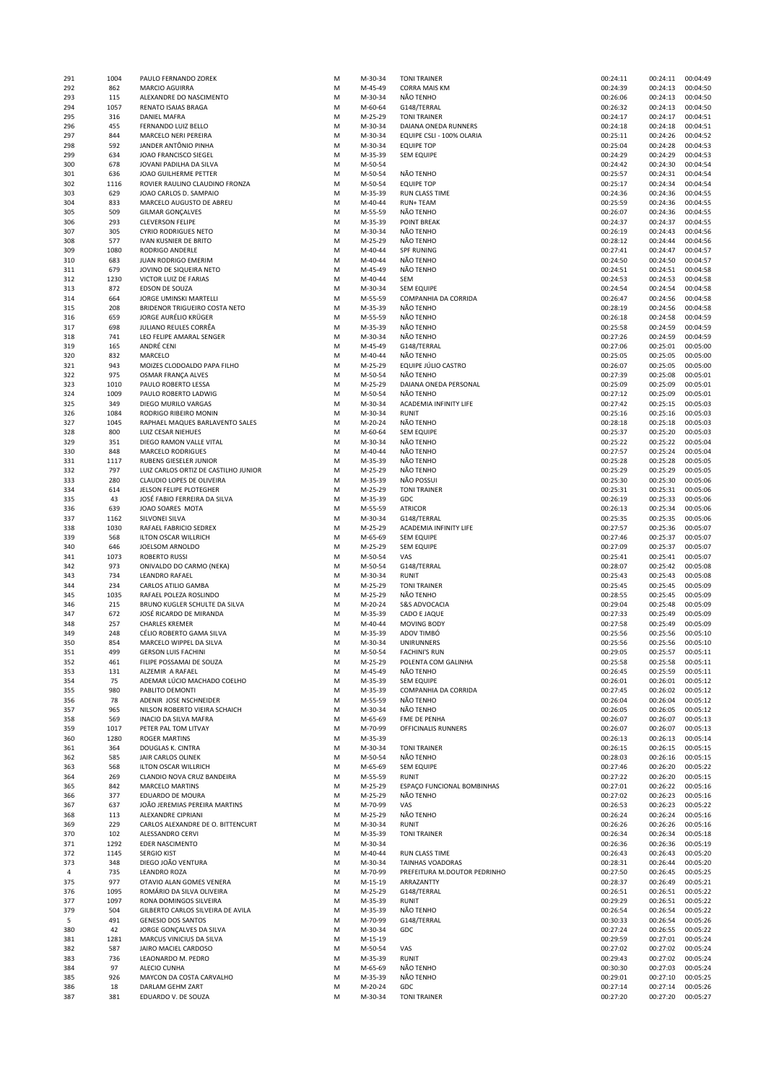| 291 | 1004 | PAULO FERNANDO ZOREK                 | М | M-30-34 | <b>TONI TRAINER</b>          | 00:24:11 | 00:24:11 | 00:04:49 |
|-----|------|--------------------------------------|---|---------|------------------------------|----------|----------|----------|
| 292 | 862  | MARCIO AGUIRRA                       | M | M-45-49 | <b>CORRA MAIS KM</b>         | 00:24:39 | 00:24:13 | 00:04:50 |
| 293 | 115  | ALEXANDRE DO NASCIMENTO              | М | M-30-34 | NÃO TENHO                    | 00:26:06 | 00:24:13 | 00:04:50 |
| 294 | 1057 | RENATO ISAIAS BRAGA                  | M | M-60-64 | G148/TERRAL                  | 00:26:32 | 00:24:13 | 00:04:50 |
|     |      |                                      |   |         |                              |          |          |          |
| 295 | 316  | DANIEL MAFRA                         | M | M-25-29 | <b>TONI TRAINER</b>          | 00:24:17 | 00:24:17 | 00:04:51 |
| 296 | 455  | FERNANDO LUIZ BELLO                  | M | M-30-34 | DAIANA ONEDA RUNNERS         | 00:24:18 | 00:24:18 | 00:04:51 |
| 297 | 844  | MARCELO NERI PEREIRA                 | M | M-30-34 | EQUIPE CSLI - 100% OLARIA    | 00:25:11 | 00:24:26 | 00:04:52 |
| 298 | 592  | JANDER ANTÖNIO PINHA                 | M | M-30-34 | <b>EQUIPE TOP</b>            | 00:25:04 | 00:24:28 | 00:04:53 |
| 299 | 634  | JOAO FRANCISCO SIEGEL                | M | M-35-39 | <b>SEM EQUIPE</b>            | 00:24:29 | 00:24:29 | 00:04:53 |
| 300 | 678  | JOVANI PADILHA DA SILVA              | M | M-50-54 |                              | 00:24:42 | 00:24:30 | 00:04:54 |
| 301 | 636  | JOAO GUILHERME PETTER                | M | M-50-54 | NÃO TENHO                    | 00:25:57 | 00:24:31 | 00:04:54 |
|     |      |                                      |   |         |                              |          |          |          |
| 302 | 1116 | ROVIER RAULINO CLAUDINO FRONZA       | M | M-50-54 | <b>EQUIPE TOP</b>            | 00:25:17 | 00:24:34 | 00:04:54 |
| 303 | 629  | JOAO CARLOS D. SAMPAIO               | M | M-35-39 | RUN CLASS TIME               | 00:24:36 | 00:24:36 | 00:04:55 |
| 304 | 833  | MARCELO AUGUSTO DE ABREU             | M | M-40-44 | <b>RUN+TEAM</b>              | 00:25:59 | 00:24:36 | 00:04:55 |
| 305 | 509  | <b>GILMAR GONÇALVES</b>              | M | M-55-59 | NÃO TENHO                    | 00:26:07 | 00:24:36 | 00:04:55 |
| 306 | 293  | <b>CLEVERSON FELIPE</b>              | M | M-35-39 | <b>POINT BREAK</b>           | 00:24:37 | 00:24:37 | 00:04:55 |
| 307 | 305  | <b>CYRIO RODRIGUES NETO</b>          | M | M-30-34 | NÃO TENHO                    | 00:26:19 | 00:24:43 | 00:04:56 |
|     |      |                                      |   |         |                              |          |          |          |
| 308 | 577  | IVAN KUSNIER DE BRITO                | M | M-25-29 | NÃO TENHO                    | 00:28:12 | 00:24:44 | 00:04:56 |
| 309 | 1080 | RODRIGO ANDERLE                      | M | M-40-44 | <b>SPF RUNING</b>            | 00:27:41 | 00:24:47 | 00:04:57 |
| 310 | 683  | JUAN RODRIGO EMERIM                  | M | M-40-44 | NÃO TENHO                    | 00:24:50 | 00:24:50 | 00:04:57 |
| 311 | 679  | JOVINO DE SIQUEIRA NETO              | M | M-45-49 | NÃO TENHO                    | 00:24:51 | 00:24:51 | 00:04:58 |
| 312 | 1230 | VICTOR LUIZ DE FARIAS                | M | M-40-44 | SEM                          | 00:24:53 | 00:24:53 | 00:04:58 |
| 313 | 872  | EDSON DE SOUZA                       | M | M-30-34 | <b>SEM EQUIPE</b>            | 00:24:54 | 00:24:54 | 00:04:58 |
|     |      |                                      |   |         |                              |          |          |          |
| 314 | 664  | JORGE UMINSKI MARTELLI               | M | M-55-59 | COMPANHIA DA CORRIDA         | 00:26:47 | 00:24:56 | 00:04:58 |
| 315 | 208  | BRIDENOR TRIGUEIRO COSTA NETO        | M | M-35-39 | NÃO TENHO                    | 00:28:19 | 00:24:56 | 00:04:58 |
| 316 | 659  | JORGE AURÉLIO KRÜGER                 | M | M-55-59 | NÃO TENHO                    | 00:26:18 | 00:24:58 | 00:04:59 |
| 317 | 698  | JULIANO REULES CORRÊA                | M | M-35-39 | NÃO TENHO                    | 00:25:58 | 00:24:59 | 00:04:59 |
| 318 | 741  | LEO FELIPE AMARAL SENGER             | M | M-30-34 | NÃO TENHO                    | 00:27:26 | 00:24:59 | 00:04:59 |
| 319 | 165  | ANDRÉ CENI                           | M | M-45-49 | G148/TERRAL                  | 00:27:06 | 00:25:01 | 00:05:00 |
|     |      |                                      |   |         |                              |          |          |          |
| 320 | 832  | MARCELO                              | М | M-40-44 | NÃO TENHO                    | 00:25:05 | 00:25:05 | 00:05:00 |
| 321 | 943  | MOIZES CLODOALDO PAPA FILHO          | M | M-25-29 | EQUIPE JULIO CASTRO          | 00:26:07 | 00:25:05 | 00:05:00 |
| 322 | 975  | OSMAR FRANÇA ALVES                   | M | M-50-54 | NÃO TENHO                    | 00:27:39 | 00:25:08 | 00:05:01 |
| 323 | 1010 | PAULO ROBERTO LESSA                  | M | M-25-29 | DAIANA ONEDA PERSONAL        | 00:25:09 | 00:25:09 | 00:05:01 |
| 324 | 1009 | PAULO ROBERTO LADWIG                 | M | M-50-54 | NÃO TENHO                    | 00:27:12 | 00:25:09 | 00:05:01 |
| 325 | 349  | DIEGO MURILO VARGAS                  | M | M-30-34 | ACADEMIA INFINITY LIFE       | 00:27:42 | 00:25:15 | 00:05:03 |
|     |      |                                      |   |         |                              |          |          |          |
| 326 | 1084 | RODRIGO RIBEIRO MONIN                | M | M-30-34 | <b>RUNIT</b>                 | 00:25:16 | 00:25:16 | 00:05:03 |
| 327 | 1045 | RAPHAEL MAQUES BARLAVENTO SALES      | M | M-20-24 | NÃO TENHO                    | 00:28:18 | 00:25:18 | 00:05:03 |
| 328 | 800  | LUIZ CESAR NIEHUES                   | M | M-60-64 | <b>SEM EQUIPE</b>            | 00:25:37 | 00:25:20 | 00:05:03 |
| 329 | 351  | DIEGO RAMON VALLE VITAL              | M | M-30-34 | NÃO TENHO                    | 00:25:22 | 00:25:22 | 00:05:04 |
| 330 | 848  | <b>MARCELO RODRIGUES</b>             | M | M-40-44 | NÃO TENHO                    | 00:27:57 | 00:25:24 | 00:05:04 |
| 331 | 1117 | RUBENS GIESELER JUNIOR               | M | M-35-39 | NÃO TENHO                    | 00:25:28 | 00:25:28 | 00:05:05 |
|     |      |                                      |   |         |                              |          |          |          |
| 332 | 797  | LUIZ CARLOS ORTIZ DE CASTILHO JUNIOR | M | M-25-29 | NÃO TENHO                    | 00:25:29 | 00:25:29 | 00:05:05 |
| 333 | 280  | CLAUDIO LOPES DE OLIVEIRA            | M | M-35-39 | NÃO POSSUI                   | 00:25:30 | 00:25:30 | 00:05:06 |
| 334 | 614  | JELSON FELIPE PLOTEGHER              | M | M-25-29 | <b>TONI TRAINER</b>          | 00:25:31 | 00:25:31 | 00:05:06 |
| 335 | 43   | JOSÉ FABIO FERREIRA DA SILVA         | M | M-35-39 | GDC                          | 00:26:19 | 00:25:33 | 00:05:06 |
| 336 | 639  | JOAO SOARES MOTA                     | M | M-55-59 | ATRICOR                      | 00:26:13 | 00:25:34 | 00:05:06 |
| 337 | 1162 | SILVONEI SILVA                       | M | M-30-34 | G148/TERRAL                  | 00:25:35 | 00:25:35 | 00:05:06 |
|     |      |                                      |   |         |                              |          |          |          |
| 338 | 1030 | RAFAEL FABRICIO SEDREX               | M | M-25-29 | ACADEMIA INFINITY LIFE       | 00:27:57 | 00:25:36 | 00:05:07 |
| 339 | 568  | ILTON OSCAR WILLRICH                 | M | M-65-69 | <b>SEM EQUIPE</b>            | 00:27:46 | 00:25:37 | 00:05:07 |
| 340 | 646  | JOELSOM ARNOLDO                      | M | M-25-29 | <b>SEM EQUIPE</b>            | 00:27:09 | 00:25:37 | 00:05:07 |
| 341 | 1073 | <b>ROBERTO RUSSI</b>                 | М | M-50-54 | VAS                          | 00:25:41 | 00:25:41 | 00:05:07 |
| 342 | 973  | ONIVALDO DO CARMO (NEKA)             | M | M-50-54 | G148/TERRAL                  | 00:28:07 | 00:25:42 | 00:05:08 |
|     | 734  | <b>LEANDRO RAFAEL</b>                | М | M-30-34 | RUNIT                        | 00:25:43 | 00:25:43 | 00:05:08 |
| 343 |      |                                      |   |         |                              |          |          |          |
| 344 | 234  | CARLOS ATILIO GAMBA                  | M | M-25-29 | <b>TONI TRAINER</b>          | 00:25:45 | 00:25:45 | 00:05:09 |
| 345 | 1035 | RAFAEL POLEZA ROSLINDO               | M | M-25-29 | NÃO TENHO                    | 00:28:55 | 00:25:45 | 00:05:09 |
| 346 | 215  | BRUNO KUGLER SCHULTE DA SILVA        | M | M-20-24 | <b>S&amp;S ADVOCACIA</b>     | 00:29:04 | 00:25:48 | 00:05:09 |
| 347 | 672  | JOSÉ RICARDO DE MIRANDA              | M | M-35-39 | CADO E JAQUE                 | 00:27:33 | 00:25:49 | 00:05:09 |
| 348 | 257  | <b>CHARLES KREMER</b>                | M | M-40-44 | <b>MOVING BODY</b>           | 00:27:58 | 00:25:49 | 00:05:09 |
| 349 | 248  | CÉLIO ROBERTO GAMA SILVA             | M | M-35-39 | ADOV TIMBO                   | 00:25:56 | 00:25:56 | 00:05:10 |
|     |      |                                      |   |         |                              |          |          |          |
| 350 | 854  | MARCELO WIPPEL DA SILVA              | M | M-30-34 | UNIRUNNERS                   | 00:25:56 | 00:25:56 | 00:05:10 |
| 351 | 499  | <b>GERSON LUIS FACHINI</b>           | M | M-50-54 | <b>FACHINI'S RUN</b>         | 00:29:05 | 00:25:57 | 00:05:11 |
| 352 | 461  | FILIPE POSSAMAI DE SOUZA             | M | M-25-29 | POLENTA COM GALINHA          | 00:25:58 | 00:25:58 | 00:05:11 |
| 353 | 131  | ALZEMIR A RAFAEL                     | М | M-45-49 | NÃO TENHO                    | 00:26:45 | 00:25:59 | 00:05:11 |
| 354 | 75   | ADEMAR LÚCIO MACHADO COELHO          | M | M-35-39 | <b>SEM EQUIPE</b>            | 00:26:01 | 00:26:01 | 00:05:12 |
| 355 | 980  | PABLITO DEMONTI                      | M | M-35-39 | COMPANHIA DA CORRIDA         | 00:27:45 | 00:26:02 | 00:05:12 |
|     |      |                                      |   |         |                              |          |          |          |
| 356 | 78   | ADENIR JOSE NSCHNEIDER               | M | M-55-59 | NÃO TENHO                    | 00:26:04 | 00:26:04 | 00:05:12 |
| 357 | 965  | NILSON ROBERTO VIEIRA SCHAICH        | M | M-30-34 | NÃO TENHO                    | 00:26:05 | 00:26:05 | 00:05:12 |
| 358 | 569  | INACIO DA SILVA MAFRA                | M | M-65-69 | FME DE PENHA                 | 00:26:07 | 00:26:07 | 00:05:13 |
| 359 | 1017 | PETER PAL TOM LITVAY                 | M | M-70-99 | OFFICINALIS RUNNERS          | 00:26:07 | 00:26:07 | 00:05:13 |
| 360 | 1280 | <b>ROGER MARTINS</b>                 | М | M-35-39 |                              | 00:26:13 | 00:26:13 | 00:05:14 |
| 361 | 364  | DOUGLAS K. CINTRA                    | М | M-30-34 | <b>TONI TRAINER</b>          | 00:26:15 | 00:26:15 | 00:05:15 |
| 362 | 585  | JAIR CARLOS OLINEK                   | M | M-50-54 | NÃO TENHO                    | 00:28:03 | 00:26:16 | 00:05:15 |
|     |      |                                      |   |         | <b>SEM EQUIPE</b>            |          |          |          |
| 363 | 568  | ILTON OSCAR WILLRICH                 | M | M-65-69 |                              | 00:27:46 | 00:26:20 | 00:05:22 |
| 364 | 269  | CLANDIO NOVA CRUZ BANDEIRA           | M | M-55-59 | <b>RUNIT</b>                 | 00:27:22 | 00:26:20 | 00:05:15 |
| 365 | 842  | MARCELO MARTINS                      | M | M-25-29 | ESPAÇO FUNCIONAL BOMBINHAS   | 00:27:01 | 00:26:22 | 00:05:16 |
| 366 | 377  | EDUARDO DE MOURA                     | М | M-25-29 | NÃO TENHO                    | 00:27:02 | 00:26:23 | 00:05:16 |
| 367 | 637  | JOÃO JEREMIAS PEREIRA MARTINS        | М | M-70-99 | VAS                          | 00:26:53 | 00:26:23 | 00:05:22 |
| 368 | 113  | ALEXANDRE CIPRIANI                   | М | M-25-29 | NÃO TENHO                    | 00:26:24 | 00:26:24 | 00:05:16 |
|     |      |                                      |   |         |                              |          |          |          |
| 369 | 229  | CARLOS ALEXANDRE DE O. BITTENCURT    | М | M-30-34 | <b>RUNIT</b>                 | 00:26:26 | 00:26:26 | 00:05:16 |
| 370 | 102  | ALESSANDRO CERVI                     | М | M-35-39 | <b>TONI TRAINER</b>          | 00:26:34 | 00:26:34 | 00:05:18 |
| 371 | 1292 | EDER NASCIMENTO                      | М | M-30-34 |                              | 00:26:36 | 00:26:36 | 00:05:19 |
| 372 | 1145 | SERGIO KIST                          | М | M-40-44 | RUN CLASS TIME               | 00:26:43 | 00:26:43 | 00:05:20 |
| 373 | 348  | DIEGO JOÃO VENTURA                   | M | M-30-34 | <b>TAINHAS VOADORAS</b>      | 00:28:31 | 00:26:44 | 00:05:20 |
| 4   | 735  | LEANDRO ROZA                         | М | M-70-99 | PREFEITURA M.DOUTOR PEDRINHO | 00:27:50 | 00:26:45 | 00:05:25 |
|     |      |                                      |   |         |                              |          |          |          |
| 375 | 977  | OTAVIO ALAN GOMES VENERA             | M | M-15-19 | ARRAZANTTY                   | 00:28:37 | 00:26:49 | 00:05:21 |
| 376 | 1095 | ROMÁRIO DA SILVA OLIVEIRA            | М | M-25-29 | G148/TERRAL                  | 00:26:51 | 00:26:51 | 00:05:22 |
| 377 | 1097 | RONA DOMINGOS SILVEIRA               | M | M-35-39 | <b>RUNIT</b>                 | 00:29:29 | 00:26:51 | 00:05:22 |
| 379 | 504  | GILBERTO CARLOS SILVEIRA DE AVILA    | М | M-35-39 | NÃO TENHO                    | 00:26:54 | 00:26:54 | 00:05:22 |
| 5   | 491  | <b>GENESIO DOS SANTOS</b>            | M | M-70-99 | G148/TERRAL                  | 00:30:33 | 00:26:54 | 00:05:26 |
| 380 | 42   | JORGE GONÇALVES DA SILVA             | M | M-30-34 | GDC                          | 00:27:24 | 00:26:55 | 00:05:22 |
|     | 1281 | MARCUS VINICIUS DA SILVA             |   |         |                              | 00:29:59 | 00:27:01 | 00:05:24 |
| 381 |      |                                      | M | M-15-19 |                              |          |          |          |
| 382 | 587  | JAIRO MACIEL CARDOSO                 | M | M-50-54 | VAS                          | 00:27:02 | 00:27:02 | 00:05:24 |
| 383 | 736  | LEAONARDO M. PEDRO                   | M | M-35-39 | <b>RUNIT</b>                 | 00:29:43 | 00:27:02 | 00:05:24 |
| 384 | 97   | ALECIO CUNHA                         | M | M-65-69 | NÃO TENHO                    | 00:30:30 | 00:27:03 | 00:05:24 |
| 385 | 926  | MAYCON DA COSTA CARVALHO             | M | M-35-39 | NÃO TENHO                    | 00:29:01 | 00:27:10 | 00:05:25 |
| 386 | 18   | DARLAM GEHM ZART                     | М | M-20-24 | GDC                          | 00:27:14 | 00:27:14 | 00:05:26 |
| 387 | 381  | EDUARDO V. DE SOUZA                  | M | M-30-34 | <b>TONI TRAINER</b>          | 00:27:20 | 00:27:20 | 00:05:27 |
|     |      |                                      |   |         |                              |          |          |          |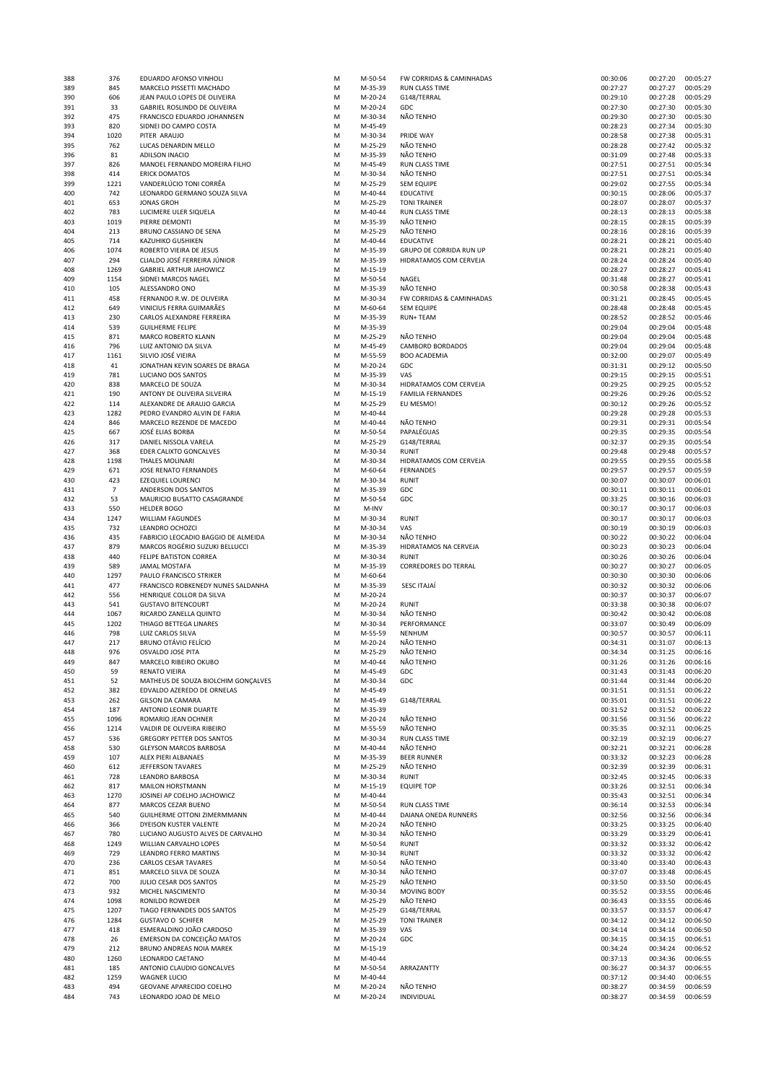| 388        | 376            | EDUARDO AFONSO VINHOLI                               | M      | M-50-54              | FW CORRIDAS & CAMINHADAS              | 00:30:06             | 00:27:20             | 00:05:27             |
|------------|----------------|------------------------------------------------------|--------|----------------------|---------------------------------------|----------------------|----------------------|----------------------|
| 389        | 845            | MARCELO PISSETTI MACHADO                             | M      | M-35-39              | RUN CLASS TIME                        | 00:27:27             | 00:27:27             | 00:05:29             |
| 390        | 606            | JEAN PAULO LOPES DE OLIVEIRA                         | M      | M-20-24              | G148/TERRAL                           | 00:29:10             | 00:27:28             | 00:05:29             |
| 391        | 33             | GABRIEL ROSLINDO DE OLIVEIRA                         | M      | M-20-24              | GDC                                   | 00:27:30             | 00:27:30             | 00:05:30             |
| 392        | 475<br>820     | FRANCISCO EDUARDO JOHANNSEN                          | M      | M-30-34              | NÃO TENHO                             | 00:29:30<br>00:28:23 | 00:27:30<br>00:27:34 | 00:05:30<br>00:05:30 |
| 393<br>394 | 1020           | SIDNEI DO CAMPO COSTA<br>PITER ARAUJO                | M<br>M | M-45-49<br>M-30-34   | PRIDE WAY                             | 00:28:58             | 00:27:38             | 00:05:31             |
| 395        | 762            | LUCAS DENARDIN MELLO                                 | M      | M-25-29              | NÃO TENHO                             | 00:28:28             | 00:27:42             | 00:05:32             |
| 396        | 81             | <b>ADILSON INACIO</b>                                | M      | M-35-39              | NÃO TENHO                             | 00:31:09             | 00:27:48             | 00:05:33             |
| 397        | 826            | MANOEL FERNANDO MOREIRA FILHO                        | M      | M-45-49              | RUN CLASS TIME                        | 00:27:51             | 00:27:51             | 00:05:34             |
| 398        | 414            | <b>ERICK DOMATOS</b>                                 | M      | M-30-34              | NÃO TENHO                             | 00:27:51             | 00:27:51             | 00:05:34             |
| 399        | 1221           | VANDERLÚCIO TONI CORRÊA                              | M      | M-25-29              | <b>SEM EQUIPE</b>                     | 00:29:02             | 00:27:55             | 00:05:34             |
| 400        | 742            | LEONARDO GERMANO SOUZA SILVA                         | M      | M-40-44              | EDUCATIVE                             | 00:30:15             | 00:28:06             | 00:05:37             |
| 401        | 653            | <b>JONAS GROH</b>                                    | M      | M-25-29              | <b>TONI TRAINER</b>                   | 00:28:07             | 00:28:07             | 00:05:37             |
| 402        | 783            | LUCIMERE ULER SIQUELA                                | M      | M-40-44              | <b>RUN CLASS TIME</b>                 | 00:28:13             | 00:28:13             | 00:05:38             |
| 403        | 1019           | PIERRE DEMONTI                                       | M      | M-35-39              | NÃO TENHO                             | 00:28:15             | 00:28:15             | 00:05:39             |
| 404        | 213            | BRUNO CASSIANO DE SENA                               | M      | M-25-29              | NÃO TENHO                             | 00:28:16             | 00:28:16             | 00:05:39             |
| 405        | 714            | <b>KAZUHIKO GUSHIKEN</b>                             | M      | M-40-44              | <b>EDUCATIVE</b>                      | 00:28:21             | 00:28:21             | 00:05:40             |
| 406        | 1074           | ROBERTO VIEIRA DE JESUS                              | M      | M-35-39              | GRUPO DE CORRIDA RUN UP               | 00:28:21             | 00:28:21             | 00:05:40             |
| 407        | 294            | CLIALDO JOSÉ FERREIRA JÚNIOR                         | M      | M-35-39              | HIDRATAMOS COM CERVEJA                | 00:28:24             | 00:28:24             | 00:05:40             |
| 408        | 1269           | <b>GABRIEL ARTHUR JAHOWICZ</b>                       | M      | M-15-19              |                                       | 00:28:27             | 00:28:27             | 00:05:41             |
| 409        | 1154           | SIDNEI MARCOS NAGEL                                  | M      | M-50-54              | NAGEL                                 | 00:31:48             | 00:28:27             | 00:05:41             |
| 410        | 105            | ALESSANDRO ONO                                       | M      | M-35-39              | NÃO TENHO                             | 00:30:58             | 00:28:38             | 00:05:43             |
| 411        | 458            | FERNANDO R.W. DE OLIVEIRA                            | M      | M-30-34              | FW CORRIDAS & CAMINHADAS              | 00:31:21             | 00:28:45             | 00:05:45             |
| 412        | 649            | VINICIUS FERRA GUIMARÃES                             | M      | M-60-64              | <b>SEM EQUIPE</b>                     | 00:28:48             | 00:28:48             | 00:05:45             |
| 413        | 230            | CARLOS ALEXANDRE FERREIRA                            | M      | M-35-39              | <b>RUN+ TEAM</b>                      | 00:28:52             | 00:28:52             | 00:05:46             |
| 414        | 539            | <b>GUILHERME FELIPE</b><br>MARCO ROBERTO KLANN       | M      | M-35-39<br>M-25-29   |                                       | 00:29:04             | 00:29:04             | 00:05:48             |
| 415        | 871<br>796     | LUIZ ANTONIO DA SILVA                                | M<br>M |                      | NÃO TENHO<br><b>CAMBORD BORDADOS</b>  | 00:29:04<br>00:29:04 | 00:29:04<br>00:29:04 | 00:05:48<br>00:05:48 |
| 416<br>417 | 1161           | SILVIO JOSÉ VIEIRA                                   | M      | M-45-49<br>M-55-59   | <b>BOO ACADEMIA</b>                   | 00:32:00             | 00:29:07             | 00:05:49             |
| 418        | 41             | JONATHAN KEVIN SOARES DE BRAGA                       | M      | M-20-24              | GDC                                   | 00:31:31             | 00:29:12             | 00:05:50             |
| 419        | 781            | LUCIANO DOS SANTOS                                   | M      | M-35-39              | VAS                                   | 00:29:15             | 00:29:15             | 00:05:51             |
| 420        | 838            | MARCELO DE SOUZA                                     | M      | M-30-34              | HIDRATAMOS COM CERVEJA                | 00:29:25             | 00:29:25             | 00:05:52             |
| 421        | 190            | ANTONY DE OLIVEIRA SILVEIRA                          | M      | M-15-19              | <b>FAMILIA FERNANDES</b>              | 00:29:26             | 00:29:26             | 00:05:52             |
| 422        | 114            | ALEXANDRE DE ARAUJO GARCIA                           | M      | M-25-29              | EU MESMO!                             | 00:30:12             | 00:29:26             | 00:05:52             |
| 423        | 1282           | PEDRO EVANDRO ALVIN DE FARIA                         | M      | M-40-44              |                                       | 00:29:28             | 00:29:28             | 00:05:53             |
| 424        | 846            | MARCELO REZENDE DE MACEDO                            | M      | M-40-44              | NÃO TENHO                             | 00:29:31             | 00:29:31             | 00:05:54             |
| 425        | 667            | JOSÉ ELIAS BORBA                                     | M      | M-50-54              | PAPALÉGUAS                            | 00:29:35             | 00:29:35             | 00:05:54             |
| 426        | 317            | DANIEL NISSOLA VARELA                                | M      | M-25-29              | G148/TERRAL                           | 00:32:37             | 00:29:35             | 00:05:54             |
| 427        | 368            | EDER CALIXTO GONCALVES                               | M      | M-30-34              | RUNIT                                 | 00:29:48             | 00:29:48             | 00:05:57             |
| 428        | 1198           | THALES MOLINARI                                      | M      | M-30-34              | HIDRATAMOS COM CERVEJA                | 00:29:55             | 00:29:55             | 00:05:58             |
| 429        | 671            | JOSE RENATO FERNANDES                                | M      | M-60-64              | <b>FERNANDES</b>                      | 00:29:57             | 00:29:57             | 00:05:59             |
| 430        | 423            | <b>EZEQUIEL LOURENCI</b>                             | M      | M-30-34              | <b>RUNIT</b>                          | 00:30:07             | 00:30:07             | 00:06:01             |
| 431        | $\overline{7}$ | ANDERSON DOS SANTOS                                  | M      | M-35-39              | GDC                                   | 00:30:11             | 00:30:11             | 00:06:01             |
| 432        | 53             | MAURICIO BUSATTO CASAGRANDE                          | M      | M-50-54              | GDC                                   | 00:33:25             | 00:30:16             | 00:06:03             |
| 433        | 550            | <b>HELDER BOGO</b>                                   | M      | M-INV                |                                       | 00:30:17             | 00:30:17             | 00:06:03             |
| 434        | 1247           | <b>WILLIAM FAGUNDES</b>                              | M      | M-30-34              | <b>RUNIT</b>                          | 00:30:17             | 00:30:17             | 00:06:03             |
| 435        | 732            | LEANDRO OCHOZCI                                      | M      | M-30-34              | VAS                                   | 00:30:19             | 00:30:19             | 00:06:03             |
| 436        | 435<br>879     | FABRICIO LEOCADIO BAGGIO DE ALMEIDA                  | M      | M-30-34              | NÃO TENHO                             | 00:30:22             | 00:30:22             | 00:06:04             |
| 437        |                | MARCOS ROGÉRIO SUZUKI BELLUCCI                       | M<br>M | M-35-39              | HIDRATAMOS NA CERVEJA<br><b>RUNIT</b> | 00:30:23             | 00:30:23<br>00:30:26 | 00:06:04             |
| 438<br>439 | 440<br>589     | FELIPE BATISTON CORREA<br>JAMAL MOSTAFA              | M      | M-30-34<br>M-35-39   | <b>CORREDORES DO TERRAL</b>           | 00:30:26<br>00:30:27 | 00:30:27             | 00:06:04<br>00:06:05 |
| 440        | 1297           | PAULO FRANCISCO STRIKER                              | M      | M-60-64              |                                       | 00:30:30             | 00:30:30             | 00:06:06             |
| 441        | 477            | FRANCISCO ROBKENEDY NUNES SALDANHA                   | M      | M-35-39              | <b>SESC ITAJAÍ</b>                    | 00:30:32             | 00:30:32             | 00:06:06             |
| 442        | 556            | HENRIQUE COLLOR DA SILVA                             | M      | M-20-24              |                                       | 00:30:37             | 00:30:37             | 00:06:07             |
| 443        | 541            | <b>GUSTAVO BITENCOURT</b>                            | M      | M-20-24              | RUNIT                                 | 00:33:38             | 00:30:38             | 00:06:07             |
| 444        | 1067           | RICARDO ZANELLA QUINTO                               | M      | M-30-34              | NÃO TENHO                             | 00:30:42             | 00:30:42             | 00:06:08             |
| 445        | 1202           | THIAGO BETTEGA LINARES                               | M      | M-30-34              | PERFORMANCE                           | 00:33:07             | 00:30:49             | 00:06:09             |
| 446        | 798            | LUIZ CARLOS SILVA                                    | M      | M-55-59              | NENHUM                                | 00:30:57             | 00:30:57             | 00:06:11             |
| 447        | 217            | <b>BRUNO OTÁVIO FELÍCIO</b>                          | M      | M-20-24              | NÃO TENHO                             | 00:34:31             | 00:31:07             | 00:06:13             |
| 448        | 976            | OSVALDO JOSE PITA                                    | M      | M-25-29              | NÃO TENHO                             | 00:34:34             | 00:31:25             | 00:06:16             |
| 449        | 847            | MARCELO RIBEIRO OKUBO                                | M      | M-40-44              | NÃO TENHO                             | 00:31:26             | 00:31:26             | 00:06:16             |
| 450        | 59             | RENATO VIEIRA                                        | M      | M-45-49              | GDC                                   | 00:31:43             | 00:31:43             | 00:06:20             |
| 451        | 52             | MATHEUS DE SOUZA BIOLCHIM GONÇALVES                  | M      | M-30-34              | GDC                                   | 00:31:44             | 00:31:44             | 00:06:20             |
| 452        | 382            | EDVALDO AZEREDO DE ORNELAS                           | M      | M-45-49              |                                       | 00:31:51             | 00:31:51             | 00:06:22             |
| 453        | 262            | <b>GILSON DA CAMARA</b>                              | M      | M-45-49              | G148/TERRAL                           | 00:35:01             | 00:31:51             | 00:06:22             |
| 454        | 187            | ANTONIO LEONIR DUARTE                                | M      | M-35-39              |                                       | 00:31:52             | 00:31:52             | 00:06:22             |
| 455        | 1096           | ROMARIO JEAN OCHNER                                  | M      | M-20-24              | NÃO TENHO                             | 00:31:56             | 00:31:56             | 00:06:22             |
| 456        | 1214           | VALDIR DE OLIVEIRA RIBEIRO                           | M      | M-55-59              | NÃO TENHO                             | 00:35:35             | 00:32:11             | 00:06:25             |
| 457        | 536            | GREGORY PETTER DOS SANTOS                            | M      | M-30-34              | RUN CLASS TIME                        | 00:32:19             | 00:32:19             | 00:06:27             |
| 458<br>459 | 530<br>107     | <b>GLEYSON MARCOS BARBOSA</b><br>ALEX PIERI ALBANAES | M<br>M | M-40-44<br>M-35-39   | NÃO TENHO<br><b>BEER RUNNER</b>       | 00:32:21<br>00:33:32 | 00:32:21<br>00:32:23 | 00:06:28<br>00:06:28 |
| 460        | 612            | JEFFERSON TAVARES                                    | M      | M-25-29              | NÃO TENHO                             | 00:32:39             | 00:32:39             | 00:06:31             |
| 461        | 728            | <b>LEANDRO BARBOSA</b>                               | M      | M-30-34              | RUNIT                                 | 00:32:45             | 00:32:45             | 00:06:33             |
| 462        | 817            | MAILON HORSTMANN                                     | M      | $M-15-19$            | <b>EQUIPE TOP</b>                     | 00:33:26             | 00:32:51             | 00:06:34             |
| 463        | 1270           | JOSINEI AP COELHO JACHOWICZ                          | M      | M-40-44              |                                       | 00:35:43             | 00:32:51             | 00:06:34             |
| 464        | 877            | MARCOS CEZAR BUENO                                   | M      | M-50-54              | RUN CLASS TIME                        | 00:36:14             | 00:32:53             | 00:06:34             |
| 465        | 540            | GUILHERME OTTONI ZIMERMMANN                          | M      | M-40-44              | DAIANA ONEDA RUNNERS                  | 00:32:56             | 00:32:56             | 00:06:34             |
| 466        | 366            | DYEISON KUSTER VALENTE                               | M      | M-20-24              | NÃO TENHO                             | 00:33:25             | 00:33:25             | 00:06:40             |
| 467        | 780            | LUCIANO AUGUSTO ALVES DE CARVALHO                    | M      | M-30-34              | NÃO TENHO                             | 00:33:29             | 00:33:29             | 00:06:41             |
| 468        | 1249           | WILLIAN CARVALHO LOPES                               | M      | M-50-54              | <b>RUNIT</b>                          | 00:33:32             | 00:33:32             | 00:06:42             |
| 469        | 729            | LEANDRO FERRO MARTINS                                | M      | M-30-34              | RUNIT                                 | 00:33:32             | 00:33:32             | 00:06:42             |
| 470        | 236            | CARLOS CESAR TAVARES                                 | M      | M-50-54              | NÃO TENHO                             | 00:33:40             | 00:33:40             | 00:06:43             |
| 471        | 851            | MARCELO SILVA DE SOUZA                               | M      | M-30-34              | NÃO TENHO                             | 00:37:07             | 00:33:48             | 00:06:45             |
| 472        | 700            | JULIO CESAR DOS SANTOS                               | M      | M-25-29              | NÃO TENHO                             | 00:33:50             | 00:33:50             | 00:06:45             |
| 473        | 932            | MICHEL NASCIMENTO                                    | M      | M-30-34              | <b>MOVING BODY</b>                    | 00:35:52             | 00:33:55             | 00:06:46             |
| 474        | 1098           | RONILDO ROWEDER                                      | M      | M-25-29              | NÃO TENHO                             | 00:36:43             | 00:33:55             | 00:06:46             |
| 475        | 1207           | TIAGO FERNANDES DOS SANTOS                           | M      | M-25-29              | G148/TERRAL                           | 00:33:57             | 00:33:57             | 00:06:47             |
| 476        | 1284           | <b>GUSTAVO O SCHIFER</b>                             | M      | M-25-29              | <b>TONI TRAINER</b>                   | 00:34:12             | 00:34:12             | 00:06:50             |
| 477        | 418            | ESMERALDINO JOÃO CARDOSO                             | M      | M-35-39              | VAS                                   | 00:34:14             | 00:34:14             | 00:06:50             |
| 478        | 26             | EMERSON DA CONCEIÇÃO MATOS                           | M<br>M | M-20-24<br>$M-15-19$ | GDC                                   | 00:34:15             | 00:34:15             | 00:06:51             |
|            |                |                                                      |        |                      |                                       | 00:34:24             | 00:34:24             | 00:06:52             |
| 479        | 212            | BRUNO ANDREAS NOIA MAREK                             |        |                      |                                       |                      |                      |                      |
| 480        | 1260           | LEONARDO CAETANO                                     | M      | M-40-44              |                                       | 00:37:13             | 00:34:36             | 00:06:55             |
| 481        | 185            | ANTONIO CLAUDIO GONCALVES                            | M      | M-50-54              | ARRAZANTTY                            | 00:36:27             | 00:34:37             | 00:06:55             |
| 482        | 1259           | WAGNER LUCIO                                         | M      | M-40-44              |                                       | 00:37:12             | 00:34:40             | 00:06:55             |
| 483<br>484 | 494<br>743     | GEOVANE APARECIDO COELHO<br>LEONARDO JOAO DE MELO    | M<br>M | M-20-24<br>M-20-24   | NÃO TENHO<br>INDIVIDUAL               | 00:38:27<br>00:38:27 | 00:34:59<br>00:34:59 | 00:06:59<br>00:06:59 |